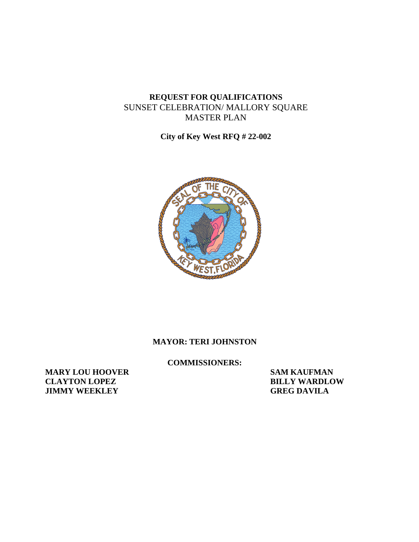# **REQUEST FOR QUALIFICATIONS** SUNSET CELEBRATION/ MALLORY SQUARE MASTER PLAN

**City of Key West RFQ # 22-002**



#### **MAYOR: TERI JOHNSTON**

**COMMISSIONERS:**

**MARY LOU HOOVER SAM KAUFMAN CLAYTON LOPEZ BILLY WARDLOW JIMMY** WEEKLEY **GREG DAVILA**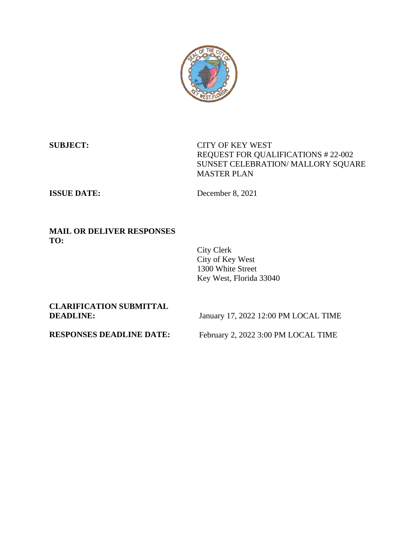

**SUBJECT:** CITY OF KEY WEST REQUEST FOR QUALIFICATIONS # 22-002 SUNSET CELEBRATION/ MALLORY SQUARE MASTER PLAN

**ISSUE DATE:** December 8, 2021

#### **MAIL OR DELIVER RESPONSES TO:**

City Clerk City of Key West 1300 White Street Key West, Florida 33040

**CLARIFICATION SUBMITTAL**

**DEADLINE:** January 17, 2022 12:00 PM LOCAL TIME

**RESPONSES DEADLINE DATE:** February 2, 2022 3:00 PM LOCAL TIME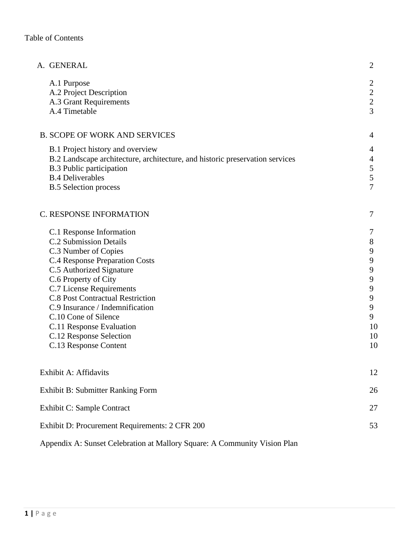| A. GENERAL                                                                                                                                                                                                                                                                                                                                                                                       | $\overline{2}$                                                                                                                  |
|--------------------------------------------------------------------------------------------------------------------------------------------------------------------------------------------------------------------------------------------------------------------------------------------------------------------------------------------------------------------------------------------------|---------------------------------------------------------------------------------------------------------------------------------|
| A.1 Purpose<br>A.2 Project Description<br>A.3 Grant Requirements<br>A.4 Timetable                                                                                                                                                                                                                                                                                                                | $\overline{c}$<br>$\overline{c}$<br>$\frac{2}{3}$                                                                               |
| <b>B. SCOPE OF WORK AND SERVICES</b>                                                                                                                                                                                                                                                                                                                                                             | 4                                                                                                                               |
| B.1 Project history and overview<br>B.2 Landscape architecture, architecture, and historic preservation services<br><b>B.3 Public participation</b><br><b>B.4 Deliverables</b><br><b>B.5 Selection process</b>                                                                                                                                                                                   | 4<br>$\overline{4}$<br>5<br>5<br>$\overline{7}$                                                                                 |
| C. RESPONSE INFORMATION                                                                                                                                                                                                                                                                                                                                                                          | 7                                                                                                                               |
| C.1 Response Information<br><b>C.2 Submission Details</b><br>C.3 Number of Copies<br><b>C.4 Response Preparation Costs</b><br>C.5 Authorized Signature<br>C.6 Property of City<br>C.7 License Requirements<br><b>C.8 Post Contractual Restriction</b><br>C.9 Insurance / Indemnification<br>C.10 Cone of Silence<br>C.11 Response Evaluation<br>C.12 Response Selection<br>C.13 Response Content | 7<br>$8\phantom{1}$<br>9<br>$\mathbf{9}$<br>9<br>$\boldsymbol{9}$<br>$\overline{9}$<br>$\mathbf{9}$<br>9<br>9<br>10<br>10<br>10 |
| Exhibit A: Affidavits                                                                                                                                                                                                                                                                                                                                                                            | 12                                                                                                                              |
| Exhibit B: Submitter Ranking Form                                                                                                                                                                                                                                                                                                                                                                | 26                                                                                                                              |
| Exhibit C: Sample Contract                                                                                                                                                                                                                                                                                                                                                                       | 27                                                                                                                              |
| Exhibit D: Procurement Requirements: 2 CFR 200                                                                                                                                                                                                                                                                                                                                                   | 53                                                                                                                              |

Appendix A: Sunset Celebration at Mallory Square: A Community Vision Plan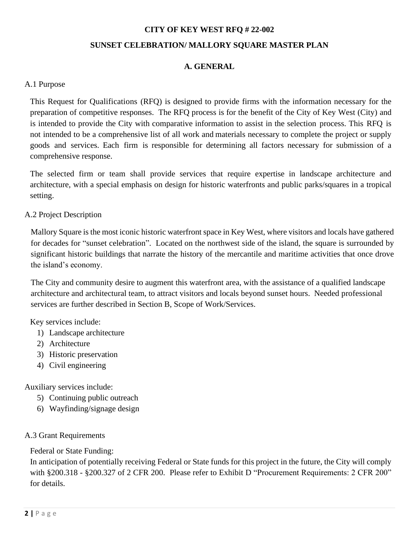# **CITY OF KEY WEST RFQ # 22-002 SUNSET CELEBRATION/ MALLORY SQUARE MASTER PLAN**

# **A. GENERAL**

#### A.1 Purpose

This Request for Qualifications (RFQ) is designed to provide firms with the information necessary for the preparation of competitive responses. The RFQ process is for the benefit of the City of Key West (City) and is intended to provide the City with comparative information to assist in the selection process. This RFQ is not intended to be a comprehensive list of all work and materials necessary to complete the project or supply goods and services. Each firm is responsible for determining all factors necessary for submission of a comprehensive response.

The selected firm or team shall provide services that require expertise in landscape architecture and architecture, with a special emphasis on design for historic waterfronts and public parks/squares in a tropical setting.

#### A.2 Project Description

Mallory Square is the most iconic historic waterfront space in Key West, where visitors and locals have gathered for decades for "sunset celebration". Located on the northwest side of the island, the square is surrounded by significant historic buildings that narrate the history of the mercantile and maritime activities that once drove the island's economy.

The City and community desire to augment this waterfront area, with the assistance of a qualified landscape architecture and architectural team, to attract visitors and locals beyond sunset hours. Needed professional services are further described in Section B, Scope of Work/Services.

Key services include:

- 1) Landscape architecture
- 2) Architecture
- 3) Historic preservation
- 4) Civil engineering

Auxiliary services include:

- 5) Continuing public outreach
- 6) Wayfinding/signage design

# A.3 Grant Requirements

Federal or State Funding:

In anticipation of potentially receiving Federal or State funds for this project in the future, the City will comply with §200.318 - §200.327 of 2 CFR 200. Please refer to Exhibit D "Procurement Requirements: 2 CFR 200" for details.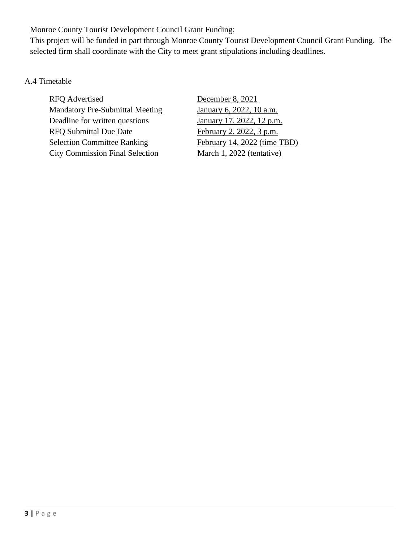Monroe County Tourist Development Council Grant Funding:

This project will be funded in part through Monroe County Tourist Development Council Grant Funding. The selected firm shall coordinate with the City to meet grant stipulations including deadlines.

# A.4 Timetable

RFQ Advertised December 8, 2021 Mandatory Pre-Submittal Meeting January 6, 2022, 10 a.m. Deadline for written questions January 17, 2022, 12 p.m. RFQ Submittal Due Date February 2, 2022, 3 p.m. Selection Committee Ranking February 14, 2022 (time TBD) City Commission Final Selection March 1, 2022 (tentative)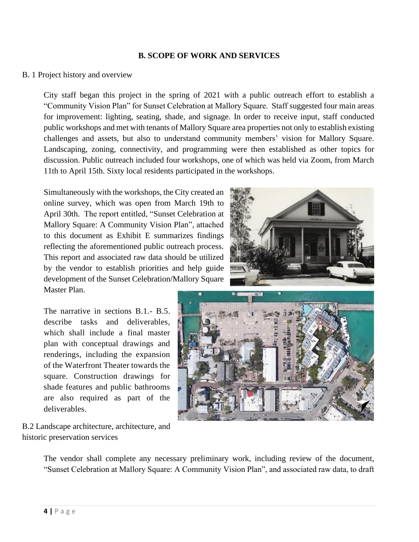#### **B. SCOPE OF WORK AND SERVICES**

#### B. 1 Project history and overview

City staff began this project in the spring of 2021 with a public outreach effort to establish a "Community Vision Plan" for Sunset Celebration at Mallory Square. Staff suggested four main areas for improvement: lighting, seating, shade, and signage. In order to receive input, staff conducted public workshops and met with tenants of Mallory Square area properties not only to establish existing challenges and assets, but also to understand community members' vision for Mallory Square. Landscaping, zoning, connectivity, and programming were then established as other topics for discussion. Public outreach included four workshops, one of which was held via Zoom, from March 11th to April 15th. Sixty local residents participated in the workshops.

Simultaneously with the workshops, the City created an online survey, which was open from March 19th to April 30th. The report entitled, "Sunset Celebration at Mallory Square: A Community Vision Plan", attached to this document as Exhibit E summarizes findings reflecting the aforementioned public outreach process. This report and associated raw data should be utilized by the vendor to establish priorities and help guide development of the Sunset Celebration/Mallory Square Master Plan.

The narrative in sections B.1.- B.5. describe tasks and deliverables, which shall include a final master plan with conceptual drawings and renderings, including the expansion of the Waterfront Theater towards the square. Construction drawings for shade features and public bathrooms are also required as part of the deliverables.

B.2 Landscape architecture, architecture, and historic preservation services





The vendor shall complete any necessary preliminary work, including review of the document, "Sunset Celebration at Mallory Square: A Community Vision Plan", and associated raw data, to draft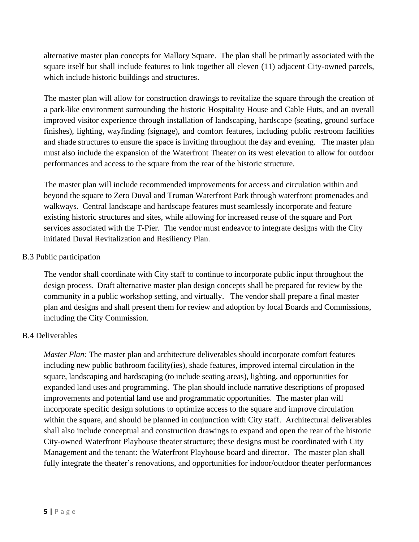alternative master plan concepts for Mallory Square. The plan shall be primarily associated with the square itself but shall include features to link together all eleven (11) adjacent City-owned parcels, which include historic buildings and structures.

The master plan will allow for construction drawings to revitalize the square through the creation of a park-like environment surrounding the historic Hospitality House and Cable Huts, and an overall improved visitor experience through installation of landscaping, hardscape (seating, ground surface finishes), lighting, wayfinding (signage), and comfort features, including public restroom facilities and shade structures to ensure the space is inviting throughout the day and evening. The master plan must also include the expansion of the Waterfront Theater on its west elevation to allow for outdoor performances and access to the square from the rear of the historic structure.

The master plan will include recommended improvements for access and circulation within and beyond the square to Zero Duval and Truman Waterfront Park through waterfront promenades and walkways. Central landscape and hardscape features must seamlessly incorporate and feature existing historic structures and sites, while allowing for increased reuse of the square and Port services associated with the T-Pier. The vendor must endeavor to integrate designs with the City initiated Duval Revitalization and Resiliency Plan.

#### B.3 Public participation

The vendor shall coordinate with City staff to continue to incorporate public input throughout the design process. Draft alternative master plan design concepts shall be prepared for review by the community in a public workshop setting, and virtually. The vendor shall prepare a final master plan and designs and shall present them for review and adoption by local Boards and Commissions, including the City Commission.

# B.4 Deliverables

*Master Plan:* The master plan and architecture deliverables should incorporate comfort features including new public bathroom facility(ies), shade features, improved internal circulation in the square, landscaping and hardscaping (to include seating areas), lighting, and opportunities for expanded land uses and programming. The plan should include narrative descriptions of proposed improvements and potential land use and programmatic opportunities. The master plan will incorporate specific design solutions to optimize access to the square and improve circulation within the square, and should be planned in conjunction with City staff. Architectural deliverables shall also include conceptual and construction drawings to expand and open the rear of the historic City-owned Waterfront Playhouse theater structure; these designs must be coordinated with City Management and the tenant: the Waterfront Playhouse board and director. The master plan shall fully integrate the theater's renovations, and opportunities for indoor/outdoor theater performances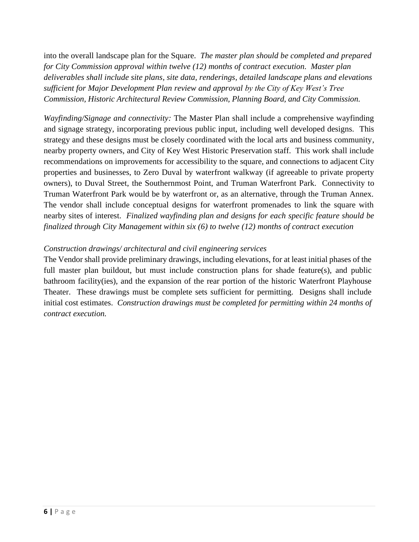into the overall landscape plan for the Square. *The master plan should be completed and prepared for City Commission approval within twelve (12) months of contract execution. Master plan deliverables shall include site plans, site data, renderings, detailed landscape plans and elevations sufficient for Major Development Plan review and approval by the City of Key West's Tree Commission, Historic Architectural Review Commission, Planning Board, and City Commission.* 

*Wayfinding/Signage and connectivity:* The Master Plan shall include a comprehensive wayfinding and signage strategy, incorporating previous public input, including well developed designs. This strategy and these designs must be closely coordinated with the local arts and business community, nearby property owners, and City of Key West Historic Preservation staff. This work shall include recommendations on improvements for accessibility to the square, and connections to adjacent City properties and businesses, to Zero Duval by waterfront walkway (if agreeable to private property owners), to Duval Street, the Southernmost Point, and Truman Waterfront Park. Connectivity to Truman Waterfront Park would be by waterfront or, as an alternative, through the Truman Annex. The vendor shall include conceptual designs for waterfront promenades to link the square with nearby sites of interest. *Finalized wayfinding plan and designs for each specific feature should be finalized through City Management within six (6) to twelve (12) months of contract execution*

# *Construction drawings/ architectural and civil engineering services*

The Vendor shall provide preliminary drawings, including elevations, for at least initial phases of the full master plan buildout, but must include construction plans for shade feature(s), and public bathroom facility(ies), and the expansion of the rear portion of the historic Waterfront Playhouse Theater. These drawings must be complete sets sufficient for permitting. Designs shall include initial cost estimates. *Construction drawings must be completed for permitting within 24 months of contract execution.*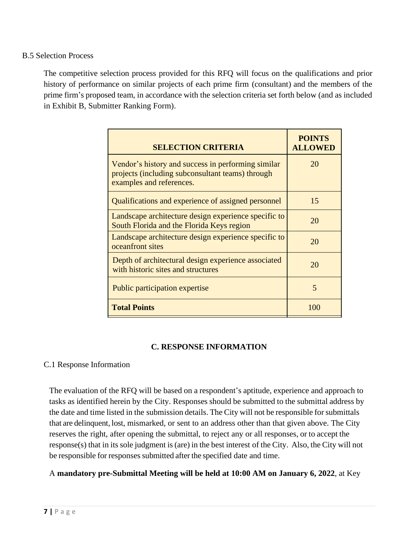B.5 Selection Process

The competitive selection process provided for this RFQ will focus on the qualifications and prior history of performance on similar projects of each prime firm (consultant) and the members of the prime firm's proposed team, in accordance with the selection criteria set forth below (and as included in Exhibit B, Submitter Ranking Form).

| <b>SELECTION CRITERIA</b>                                                                                                          | <b>POINTS</b><br><b>ALLOWED</b> |
|------------------------------------------------------------------------------------------------------------------------------------|---------------------------------|
| Vendor's history and success in performing similar<br>projects (including subconsultant teams) through<br>examples and references. | 20                              |
| Qualifications and experience of assigned personnel                                                                                | 15                              |
| Landscape architecture design experience specific to<br>South Florida and the Florida Keys region                                  | 20                              |
| Landscape architecture design experience specific to<br>oceanfront sites                                                           | 20                              |
| Depth of architectural design experience associated<br>with historic sites and structures                                          | 20                              |
| Public participation expertise                                                                                                     | 5                               |
| <b>Total Points</b>                                                                                                                | 100                             |

# **C. RESPONSE INFORMATION**

# C.1 Response Information

The evaluation of the RFQ will be based on a respondent's aptitude, experience and approach to tasks as identified herein by the City. Responses should be submitted to the submittal address by the date and time listed in the submission details. The City will not be responsible for submittals that are delinquent, lost, mismarked, or sent to an address other than that given above. The City reserves the right, after opening the submittal, to reject any or all responses, or to accept the response(s) that in its sole judgment is(are) in the best interest of the City. Also, the City will not be responsible for responses submitted after the specified date and time.

A **mandatory pre-Submittal Meeting will be held at 10:00 AM on January 6, 2022**, at Key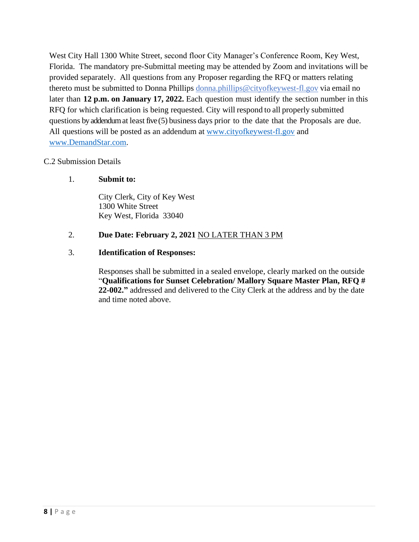West City Hall 1300 White Street, second floor City Manager's Conference Room, Key West, Florida. The mandatory pre-Submittal meeting may be attended by Zoom and invitations will be provided separately. All questions from any Proposer regarding the RFQ or matters relating thereto must be submitted to Donna Phillips donna.phillips@cityofkeywest-fl.gov via email no later than **12 p.m. on January 17, 2022.** Each question must identify the section number in this RFQ for which clarification is being requested. City will respond to all properly submitted questions by addendum at least five $(5)$  business days prior to the date that the Proposals are due. All questions will be posted as an addendum at [www.cityofkeywest-fl.gov](http://www.cityofkeywest-fl.gov/) and [www.DemandStar.com.](http://www.demandstar.com/)

#### C.2 Submission Details

#### 1. **Submit to:**

City Clerk, City of Key West 1300 White Street Key West, Florida 33040

# 2. **Due Date: February 2, 2021** NO LATER THAN 3 PM

#### 3. **Identification of Responses:**

Responses shall be submitted in a sealed envelope, clearly marked on the outside "**Qualifications for Sunset Celebration/ Mallory Square Master Plan, RFQ # 22-002."** addressed and delivered to the City Clerk at the address and by the date and time noted above.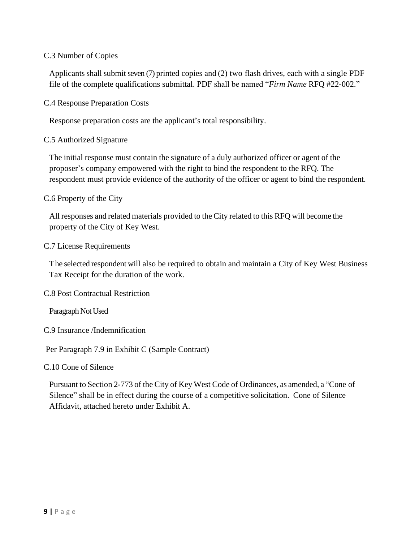#### C.3 Number of Copies

Applicants shall submit seven (7) printed copies and (2) two flash drives, each with a single PDF file of the complete qualifications submittal. PDF shall be named "*Firm Name* RFQ #22-002."

C.4 Response Preparation Costs

Response preparation costs are the applicant's total responsibility.

#### C.5 Authorized Signature

The initial response must contain the signature of a duly authorized officer or agent of the proposer's company empowered with the right to bind the respondent to the RFQ. The respondent must provide evidence of the authority of the officer or agent to bind the respondent.

#### C.6 Property of the City

All responses and related materials provided to the City related to this RFQ will become the property of the City of Key West.

#### C.7 License Requirements

The selected respondent will also be required to obtain and maintain a City of Key West Business Tax Receipt for the duration of the work.

C.8 Post Contractual Restriction

Paragraph Not Used

C.9 Insurance /Indemnification

Per Paragraph 7.9 in Exhibit C (Sample Contract)

C.10 Cone of Silence

Pursuant to Section 2-773 of the City of Key West Code of Ordinances, as amended, a "Cone of Silence" shall be in effect during the course of a competitive solicitation. Cone of Silence Affidavit, attached hereto under Exhibit A.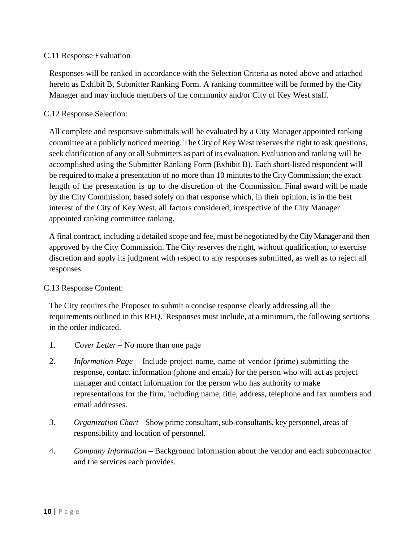#### C.11 Response Evaluation

Responses will be ranked in accordance with the Selection Criteria as noted above and attached hereto as Exhibit B, Submitter Ranking Form. A ranking committee will be formed by the City Manager and may include members of the community and/or City of Key West staff.

#### C.12 Response Selection:

All complete and responsive submittals will be evaluated by a City Manager appointed ranking committee at a publicly noticed meeting. The City of Key West reserves the right to ask questions, seek clarification of any or all Submitters as part of its evaluation. Evaluation and ranking will be accomplished using the Submitter Ranking Form (Exhibit B). Each short-listed respondent will be required to make a presentation of no more than 10 minutes to the City Commission; the exact length of the presentation is up to the discretion of the Commission. Final award will be made by the City Commission, based solely on that response which, in their opinion, is in the best interest of the City of Key West, all factors considered, irrespective of the City Manager appointed ranking committee ranking.

A final contract, including a detailed scope and fee, must be negotiated by the City Manager and then approved by the City Commission. The City reserves the right, without qualification, to exercise discretion and apply its judgment with respect to any responses submitted, as well as to reject all responses.

#### C.13 Response Content:

The City requires the Proposer to submit a concise response clearly addressing all the requirements outlined in this RFQ. Responses must include, at a minimum, the following sections in the order indicated.

- 1. *Cover Letter –* No more than one page
- 2. *Information Page* Include project name, name of vendor (prime) submitting the response, contact information (phone and email) for the person who will act as project manager and contact information for the person who has authority to make representations for the firm, including name, title, address, telephone and fax numbers and email addresses.
- 3. *Organization Chart* Show prime consultant,sub-consultants, key personnel, areas of responsibility and location of personnel.
- 4. *Company Information* Background information about the vendor and each subcontractor and the services each provides.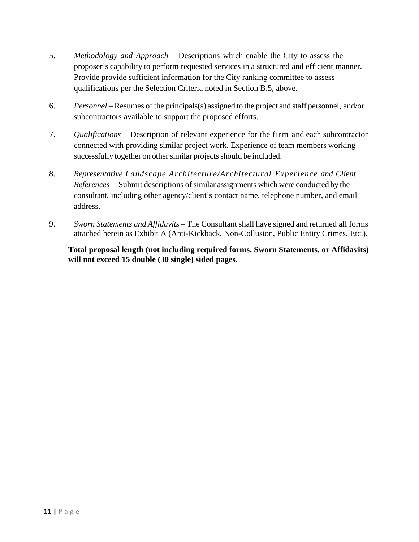- 5. *Methodology and Approach* Descriptions which enable the City to assess the proposer's capability to perform requested services in a structured and efficient manner. Provide provide sufficient information for the City ranking committee to assess qualifications per the Selection Criteria noted in Section B.5, above.
- 6. *Personnel* Resumes of the principals(s) assigned to the project and staff personnel, and/or subcontractors available to support the proposed efforts.
- 7. *Qualifications* Description of relevant experience for the firm and each subcontractor connected with providing similar project work. Experience of team members working successfully together on other similar projects should be included.
- 8. *Representative Landscape Architecture/Architectural Experience and Client References* – Submit descriptions of similar assignments which were conducted by the consultant, including other agency/client's contact name, telephone number, and email address.
- 9. *Sworn Statements and Affidavits –* The Consultant shall have signed and returned all forms attached herein as Exhibit A (Anti-Kickback, Non-Collusion, Public Entity Crimes, Etc.).

**Total proposal length (not including required forms, Sworn Statements, or Affidavits) will not exceed 15 double (30 single) sided pages.**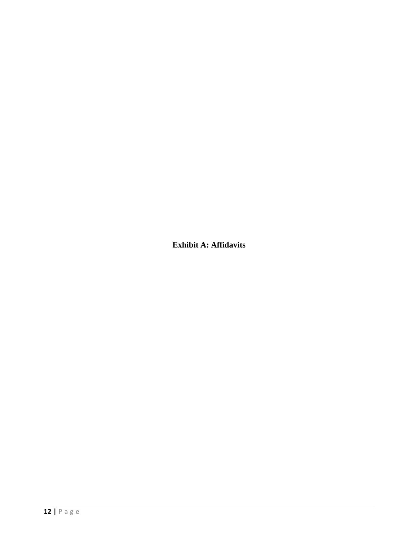**Exhibit A: Affidavits**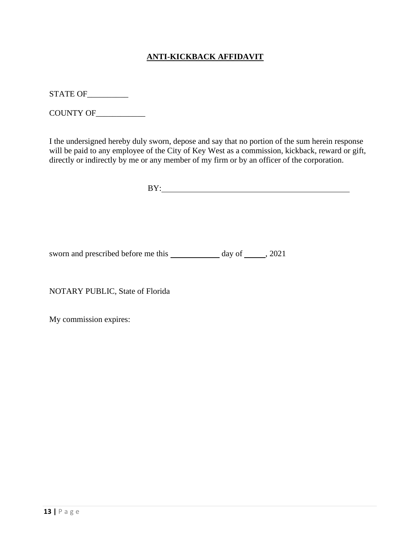# **ANTI-KICKBACK AFFIDAVIT**

STATE OF\_\_\_\_\_\_\_\_\_\_

COUNTY OF\_\_\_\_\_\_\_\_\_\_\_\_

I the undersigned hereby duly sworn, depose and say that no portion of the sum herein response will be paid to any employee of the City of Key West as a commission, kickback, reward or gift, directly or indirectly by me or any member of my firm or by an officer of the corporation.

BY:

sworn and prescribed before me this day of , 2021

NOTARY PUBLIC, State of Florida

My commission expires: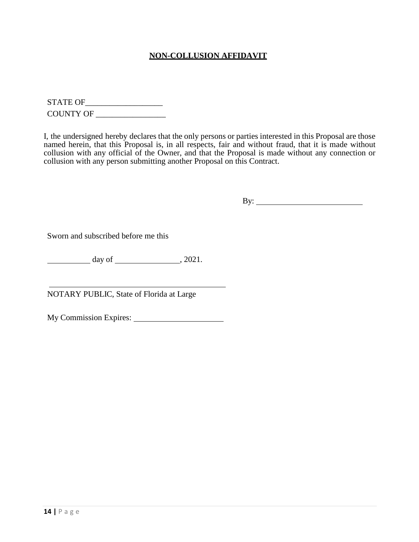#### **NON-COLLUSION AFFIDAVIT**

STATE OF\_\_\_\_\_\_\_\_\_\_\_\_\_\_\_\_\_\_\_ COUNTY OF \_\_\_\_\_\_\_\_\_\_\_\_\_\_\_\_\_

I, the undersigned hereby declares that the only persons or parties interested in this Proposal are those named herein, that this Proposal is, in all respects, fair and without fraud, that it is made without collusion with any official of the Owner, and that the Proposal is made without any connection or collusion with any person submitting another Proposal on this Contract.

By:

Sworn and subscribed before me this

 $\frac{day}{dx}$  day of  $\frac{2021}{x}$ 

NOTARY PUBLIC, State of Florida at Large

My Commission Expires: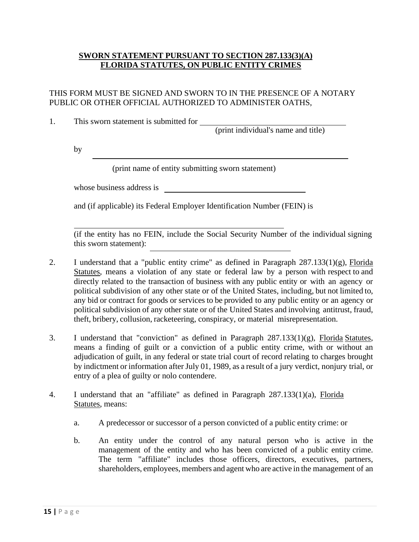#### **SWORN STATEMENT PURSUANT TO SECTION 287.133(3)(A) FLORIDA STATUTES, ON PUBLIC ENTITY CRIMES**

#### THIS FORM MUST BE SIGNED AND SWORN TO IN THE PRESENCE OF A NOTARY PUBLIC OR OTHER OFFICIAL AUTHORIZED TO ADMINISTER OATHS,

1. This sworn statement is submitted for

(print individual's name and title)

by

(print name of entity submitting sworn statement)

whose business address is

and (if applicable) its Federal Employer Identification Number (FEIN) is

(if the entity has no FEIN, include the Social Security Number of the individual signing this sworn statement):

- 2. I understand that a "public entity crime" as defined in Paragraph 287.133(1)(g), Florida Statutes, means a violation of any state or federal law by a person with respect to and directly related to the transaction of business with any public entity or with an agency or political subdivision of any other state or of the United States, including, but not limited to, any bid or contract for goods or services to be provided to any public entity or an agency or political subdivision of any other state or of the United States and involving antitrust, fraud, theft, bribery, collusion, racketeering, conspiracy, or material misrepresentation.
- 3. I understand that "conviction" as defined in Paragraph 287.133(1)(g), Florida Statutes, means a finding of guilt or a conviction of a public entity crime, with or without an adjudication of guilt, in any federal or state trial court of record relating to charges brought by indictment or information after July 01, 1989, as a result of a jury verdict, nonjury trial, or entry of a plea of guilty or nolo contendere.
- 4. I understand that an "affiliate" as defined in Paragraph 287.133(1)(a), Florida Statutes, means:
	- a. A predecessor or successor of a person convicted of a public entity crime: or
	- b. An entity under the control of any natural person who is active in the management of the entity and who has been convicted of a public entity crime. The term "affiliate" includes those officers, directors, executives, partners, shareholders, employees, members and agent who are active in the management of an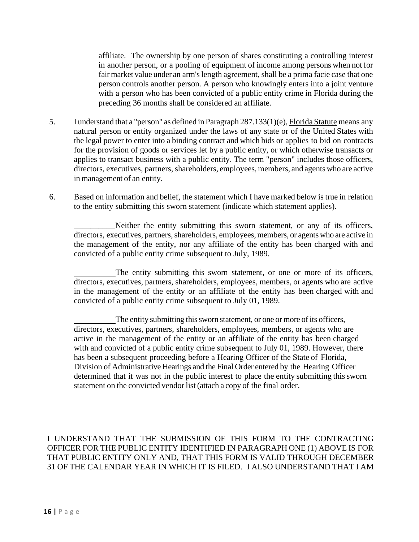affiliate. The ownership by one person of shares constituting a controlling interest in another person, or a pooling of equipment of income among persons when not for fair market value under an arm's length agreement, shall be a prima facie case that one person controls another person. A person who knowingly enters into a joint venture with a person who has been convicted of a public entity crime in Florida during the preceding 36 months shall be considered an affiliate.

- 5. I understand that a "person" as defined in Paragraph 287.133(1)(e), Florida Statute means any natural person or entity organized under the laws of any state or of the United States with the legal power to enter into a binding contract and which bids or applies to bid on contracts for the provision of goods or services let by a public entity, or which otherwise transacts or applies to transact business with a public entity. The term "person" includes those officers, directors, executives, partners, shareholders, employees, members, and agents who are active in management of an entity.
- 6. Based on information and belief, the statement which I have marked below is true in relation to the entity submitting this sworn statement (indicate which statement applies).

\_\_\_\_\_\_\_\_\_\_Neither the entity submitting this sworn statement, or any of its officers, directors, executives, partners, shareholders, employees, members, or agents who are active in the management of the entity, nor any affiliate of the entity has been charged with and convicted of a public entity crime subsequent to July, 1989.

The entity submitting this sworn statement, or one or more of its officers, directors, executives, partners, shareholders, employees, members, or agents who are active in the management of the entity or an affiliate of the entity has been charged with and convicted of a public entity crime subsequent to July 01, 1989.

The entity submitting this sworn statement, or one or more of its officers, directors, executives, partners, shareholders, employees, members, or agents who are active in the management of the entity or an affiliate of the entity has been charged with and convicted of a public entity crime subsequent to July 01, 1989. However, there has been a subsequent proceeding before a Hearing Officer of the State of Florida, Division of Administrative Hearings and the Final Order entered by the Hearing Officer determined that it was not in the public interest to place the entity submitting this sworn statement on the convicted vendor list (attach a copy of the final order.

I UNDERSTAND THAT THE SUBMISSION OF THIS FORM TO THE CONTRACTING OFFICER FOR THE PUBLIC ENTITY IDENTIFIED IN PARAGRAPH ONE (1) ABOVE IS FOR THAT PUBLIC ENTITY ONLY AND, THAT THIS FORM IS VALID THROUGH DECEMBER 31 OF THE CALENDAR YEAR IN WHICH IT IS FILED. I ALSO UNDERSTAND THAT I AM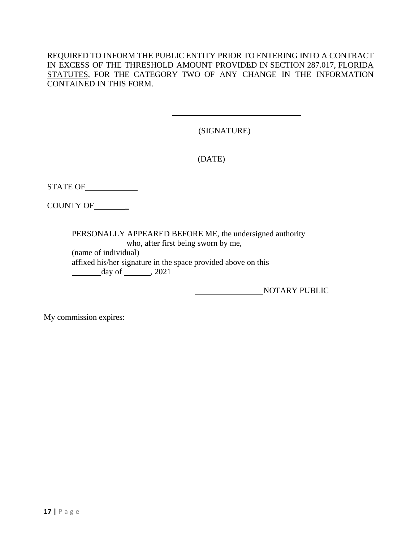REQUIRED TO INFORM THE PUBLIC ENTITY PRIOR TO ENTERING INTO A CONTRACT IN EXCESS OF THE THRESHOLD AMOUNT PROVIDED IN SECTION 287.017, FLORIDA STATUTES, FOR THE CATEGORY TWO OF ANY CHANGE IN THE INFORMATION CONTAINED IN THIS FORM.

(SIGNATURE)

(DATE)

STATE OF

COUNTY OF\_\_\_\_\_\_\_\_

PERSONALLY APPEARED BEFORE ME, the undersigned authority who, after first being sworn by me, (name of individual)

affixed his/her signature in the space provided above on this  $day \text{ of }$ , 2021

NOTARY PUBLIC

My commission expires: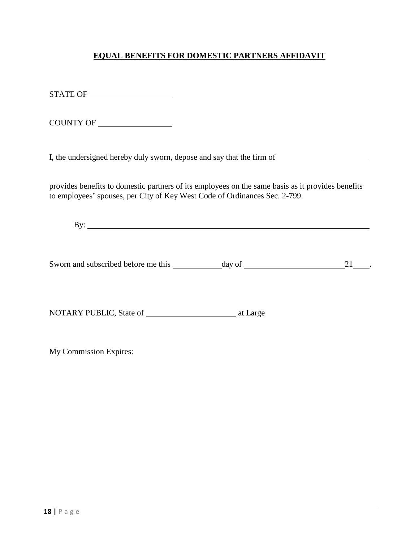# **EQUAL BENEFITS FOR DOMESTIC PARTNERS AFFIDAVIT**

STATE OF

COUNTY OF

I, the undersigned hereby duly sworn, depose and say that the firm of

provides benefits to domestic partners of its employees on the same basis as it provides benefits to employees' spouses, per City of Key West Code of Ordinances Sec. 2-799.

By:

Sworn and subscribed before me this day of 21 .

NOTARY PUBLIC, State of at Large

My Commission Expires: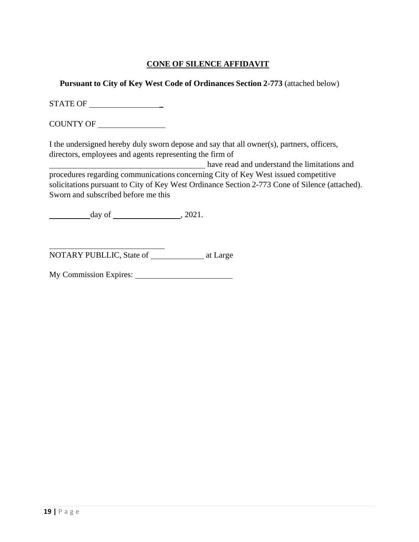# **CONE OF SILENCE AFFIDAVIT**

**Pursuant to City of Key West Code of Ordinances Section 2-773** (attached below)

STATE OF \_

COUNTY OF

I the undersigned hereby duly sworn depose and say that all owner(s), partners, officers, directors, employees and agents representing the firm of

have read and understand the limitations and procedures regarding communications concerning City of Key West issued competitive solicitations pursuant to City of Key West Ordinance Section 2-773 Cone of Silence (attached). Sworn and subscribed before me this

 $day of$ ,  $2021$ .

NOTARY PUBLLIC, State of at Large

My Commission Expires: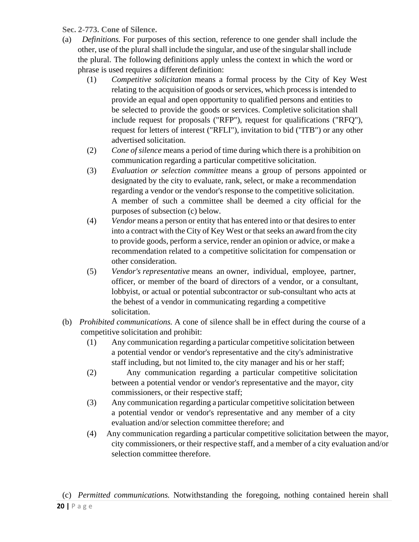**Sec. 2-773. Cone of Silence.**

- (a) *Definitions.* For purposes of this section, reference to one gender shall include the other, use of the plural shall include the singular, and use of the singularshall include the plural. The following definitions apply unless the context in which the word or phrase is used requires a different definition:
	- (1) *Competitive solicitation* means a formal process by the City of Key West relating to the acquisition of goods or services, which process is intended to provide an equal and open opportunity to qualified persons and entities to be selected to provide the goods or services. Completive solicitation shall include request for proposals ("RFP"), request for qualifications ("RFQ"), request for letters of interest ("RFLI"), invitation to bid ("ITB") or any other advertised solicitation.
	- (2) *Cone of silence* means a period of time during which there is a prohibition on communication regarding a particular competitive solicitation.
	- (3) *Evaluation or selection committee* means a group of persons appointed or designated by the city to evaluate, rank, select, or make a recommendation regarding a vendor or the vendor's response to the competitive solicitation. A member of such a committee shall be deemed a city official for the purposes of subsection (c) below.
	- (4) *Vendor* means a person or entity that has entered into or that desires to enter into a contract with the City of Key West or that seeks an award fromthe city to provide goods, perform a service, render an opinion or advice, or make a recommendation related to a competitive solicitation for compensation or other consideration.
	- (5) *Vendor's representative* means an owner, individual, employee, partner, officer, or member of the board of directors of a vendor, or a consultant, lobbyist, or actual or potential subcontractor or sub-consultant who acts at the behest of a vendor in communicating regarding a competitive solicitation.
- (b) *Prohibited communications.* A cone of silence shall be in effect during the course of a competitive solicitation and prohibit:
	- (1) Any communication regarding a particular competitive solicitation between a potential vendor or vendor's representative and the city's administrative staff including, but not limited to, the city manager and his or her staff;
	- (2) Any communication regarding a particular competitive solicitation between a potential vendor or vendor's representative and the mayor, city commissioners, or their respective staff;
	- (3) Any communication regarding a particular competitive solicitation between a potential vendor or vendor's representative and any member of a city evaluation and/or selection committee therefore; and
	- (4) Any communication regarding a particular competitive solicitation between the mayor, city commissioners, or their respective staff, and a member of a city evaluation and/or selection committee therefore.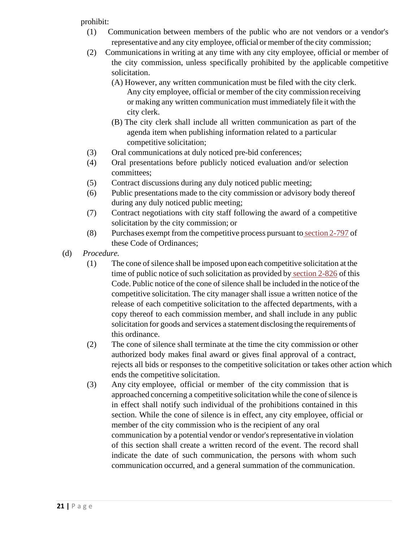prohibit:

- (1) Communication between members of the public who are not vendors or a vendor's representative and any city employee, official or member of the city commission;
- (2) Communications in writing at any time with any city employee, official or member of the city commission, unless specifically prohibited by the applicable competitive solicitation.
	- (A) However, any written communication must be filed with the city clerk. Any city employee, official or member of the city commission receiving or making any written communication must immediately file it with the city clerk.
	- (B) The city clerk shall include all written communication as part of the agenda item when publishing information related to a particular competitive solicitation;
- (3) Oral communications at duly noticed pre-bid conferences;
- (4) Oral presentations before publicly noticed evaluation and/or selection committees;
- (5) Contract discussions during any duly noticed public meeting;
- (6) Public presentations made to the city commission or advisory body thereof during any duly noticed public meeting;
- (7) Contract negotiations with city staff following the award of a competitive solicitation by the city commission; or
- (8) Purchases exempt from the competitive process pursuant to [section](http://library.municode.com/HTML/10053/level5/SPAGEOR_CH2AD_ARTVIIFIMA_DIV3PEPRPUPR_SDIICOBI.html#SPAGEOR_CH2AD_ARTVIIFIMA_DIV3PEPRPUPR_SDIICOBI_S2-797EX) 2-797 of these Code of Ordinances;
- (d) *Procedure.*
	- (1) The cone ofsilence shall be imposed upon each competitive solicitation at the time of public notice of such solicitation as provided by [section](http://library.municode.com/HTML/10053/level5/SPAGEOR_CH2AD_ARTVIIFIMA_DIV3PEPRPUPR_SDIIIPR.html#SPAGEOR_CH2AD_ARTVIIFIMA_DIV3PEPRPUPR_SDIIIPR_S2-826PUNO) 2-826 of this Code. Public notice of the cone of silence shall be included in the notice of the competitive solicitation. The city manager shall issue a written notice of the release of each competitive solicitation to the affected departments, with a copy thereof to each commission member, and shall include in any public solicitation for goods and services a statement disclosing the requirements of this ordinance.
	- (2) The cone of silence shall terminate at the time the city commission or other authorized body makes final award or gives final approval of a contract, rejects all bids or responses to the competitive solicitation or takes other action which ends the competitive solicitation.
	- (3) Any city employee, official or member of the city commission that is approached concerning a competitive solicitation while the cone of silence is in effect shall notify such individual of the prohibitions contained in this section. While the cone of silence is in effect, any city employee, official or member of the city commission who is the recipient of any oral communication by a potential vendor or vendor's representative in violation of this section shall create a written record of the event. The record shall indicate the date of such communication, the persons with whom such communication occurred, and a general summation of the communication.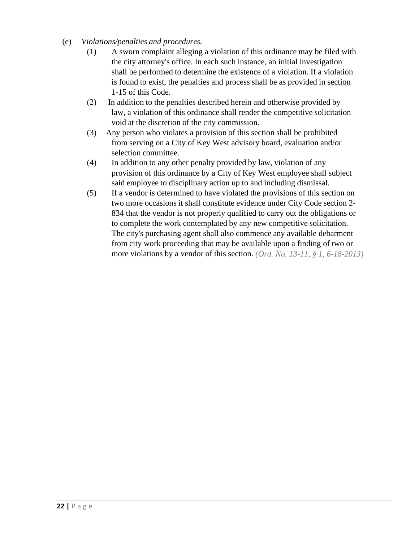- (e) *Violations/penalties and procedures.*
	- (1) A sworn complaint alleging a violation of this ordinance may be filed with the city attorney's office. In each such instance, an initial investigation shall be performed to determine the existence of a violation. If a violation is found to exist, the penalties and process shall be as provided in [section](http://library.municode.com/HTML/10053/level2/SPAGEOR_CH1GEPR.html#SPAGEOR_CH1GEPR_S1-15GEPE) [1-15](http://library.municode.com/HTML/10053/level2/SPAGEOR_CH1GEPR.html#SPAGEOR_CH1GEPR_S1-15GEPE) of this Code.
	- (2) In addition to the penalties described herein and otherwise provided by law, a violation of this ordinance shall render the competitive solicitation void at the discretion of the city commission.
	- (3) Any person who violates a provision of this section shall be prohibited from serving on a City of Key West advisory board, evaluation and/or selection committee.
	- (4) In addition to any other penalty provided by law, violation of any provision of this ordinance by a City of Key West employee shall subject said employee to disciplinary action up to and including dismissal.
	- (5) If a vendor is determined to have violated the provisions of this section on two more occasions it shall constitute evidence under City Code [section](http://library.municode.com/HTML/10053/level5/SPAGEOR_CH2AD_ARTVIIFIMA_DIV3PEPRPUPR_SDIIIPR.html#SPAGEOR_CH2AD_ARTVIIFIMA_DIV3PEPRPUPR_SDIIIPR_S2-834REBISTQUREPR) 2- [834](http://library.municode.com/HTML/10053/level5/SPAGEOR_CH2AD_ARTVIIFIMA_DIV3PEPRPUPR_SDIIIPR.html#SPAGEOR_CH2AD_ARTVIIFIMA_DIV3PEPRPUPR_SDIIIPR_S2-834REBISTQUREPR) that the vendor is not properly qualified to carry out the obligations or to complete the work contemplated by any new competitive solicitation. The city's purchasing agent shall also commence any available debarment from city work proceeding that may be available upon a finding of two or more violations by a vendor of this section. *(Ord. No. 13-11, § 1, 6-18-2013)*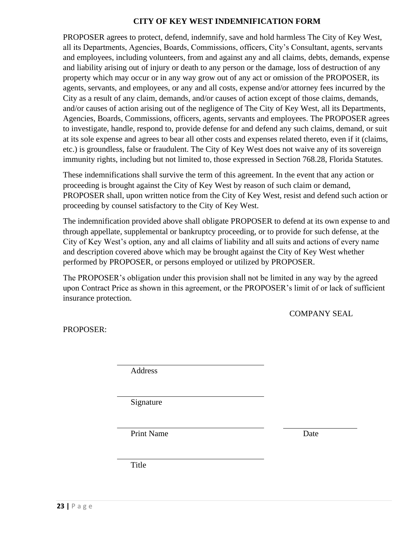#### **CITY OF KEY WEST INDEMNIFICATION FORM**

PROPOSER agrees to protect, defend, indemnify, save and hold harmless The City of Key West, all its Departments, Agencies, Boards, Commissions, officers, City's Consultant, agents, servants and employees, including volunteers, from and against any and all claims, debts, demands, expense and liability arising out of injury or death to any person or the damage, loss of destruction of any property which may occur or in any way grow out of any act or omission of the PROPOSER, its agents, servants, and employees, or any and all costs, expense and/or attorney fees incurred by the City as a result of any claim, demands, and/or causes of action except of those claims, demands, and/or causes of action arising out of the negligence of The City of Key West, all its Departments, Agencies, Boards, Commissions, officers, agents, servants and employees. The PROPOSER agrees to investigate, handle, respond to, provide defense for and defend any such claims, demand, or suit at its sole expense and agrees to bear all other costs and expenses related thereto, even if it (claims, etc.) is groundless, false or fraudulent. The City of Key West does not waive any of its sovereign immunity rights, including but not limited to, those expressed in Section 768.28, Florida Statutes.

These indemnifications shall survive the term of this agreement. In the event that any action or proceeding is brought against the City of Key West by reason of such claim or demand, PROPOSER shall, upon written notice from the City of Key West, resist and defend such action or proceeding by counsel satisfactory to the City of Key West.

The indemnification provided above shall obligate PROPOSER to defend at its own expense to and through appellate, supplemental or bankruptcy proceeding, or to provide for such defense, at the City of Key West's option, any and all claims of liability and all suits and actions of every name and description covered above which may be brought against the City of Key West whether performed by PROPOSER, or persons employed or utilized by PROPOSER.

The PROPOSER's obligation under this provision shall not be limited in any way by the agreed upon Contract Price as shown in this agreement, or the PROPOSER's limit of or lack of sufficient insurance protection.

COMPANY SEAL

PROPOSER:

Address

Signature

Print Name Date

Title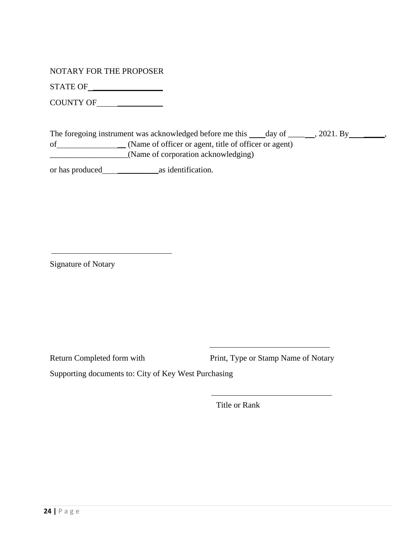NOTARY FOR THE PROPOSER

STATE OF \_\_\_\_\_\_\_\_\_\_\_\_\_\_\_\_\_

COUNTY OF \_\_\_\_\_\_\_\_\_\_\_

|    | The foregoing instrument was acknowledged before me this | $\frac{day}{ }$ of $\frac{1}{x}$ | $, 2021.$ By |  |
|----|----------------------------------------------------------|----------------------------------|--------------|--|
| οf | (Name of officer or agent, title of officer or agent)    |                                  |              |  |
|    | (Name of corporation acknowledging)                      |                                  |              |  |

or has produced \_\_\_\_\_\_\_\_\_\_as identification.

Signature of Notary

Return Completed form with Print, Type or Stamp Name of Notary

<u> 1980 - Johann Barn, mars ann an t-Amhain Aonaich an t-Aonaich an t-Aonaich an t-Aonaich an t-Aonaich an t-Aon</u>

Supporting documents to: City of Key West Purchasing

Title or Rank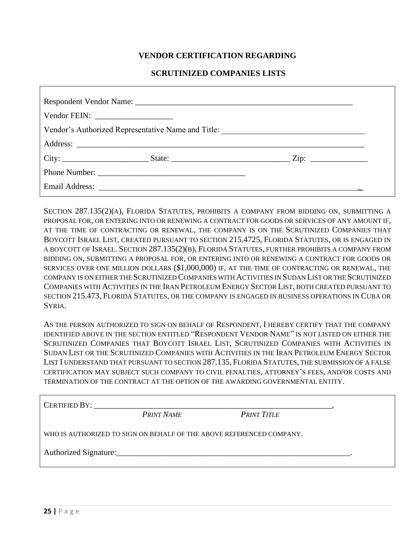#### **VENDOR CERTIFICATION REGARDING**

#### **SCRUTINIZED COMPANIES LISTS**

| Vendor's Authorized Representative Name and Title: _____________________________ |                                                                                                                                                                                                                                     |  |  |
|----------------------------------------------------------------------------------|-------------------------------------------------------------------------------------------------------------------------------------------------------------------------------------------------------------------------------------|--|--|
|                                                                                  |                                                                                                                                                                                                                                     |  |  |
|                                                                                  |                                                                                                                                                                                                                                     |  |  |
|                                                                                  |                                                                                                                                                                                                                                     |  |  |
|                                                                                  | Email Address: <u>and a series</u> and a series of the series of the series of the series of the series of the series of the series of the series of the series of the series of the series of the series of the series of the seri |  |  |

SECTION 287.135(2)(A), FLORIDA STATUTES, PROHIBITS A COMPANY FROM BIDDING ON, SUBMITTING A PROPOSAL FOR, OR ENTERING INTO OR RENEWING A CONTRACT FOR GOODS OR SERVICES OF ANY AMOUNT IF, AT THE TIME OF CONTRACTING OR RENEWAL, THE COMPANY IS ON THE SCRUTINIZED COMPANIES THAT BOYCOTT ISRAEL LIST, CREATED PURSUANT TO SECTION 215.4725, FLORIDA STATUTES, OR IS ENGAGED IN A BOYCOTT OF ISRAEL. SECTION 287.135(2)(B), FLORIDA STATUTES, FURTHER PROHIBITS A COMPANY FROM BIDDING ON, SUBMITTING A PROPOSAL FOR, OR ENTERING INTO OR RENEWING A CONTRACT FOR GOODS OR SERVICES OVER ONE MILLION DOLLARS (\$1,000,000) IF, AT THE TIME OF CONTRACTING OR RENEWAL, THE COMPANY IS ON EITHER THE SCRUTINIZED COMPANIES WITH ACTIVITIES IN SUDAN LIST OR THE SCRUTINIZED COMPANIES WITH ACTIVITIES IN THE IRAN PETROLEUM ENERGY SECTOR LIST, BOTH CREATED PURSUANT TO SECTION 215.473, FLORIDA STATUTES, OR THE COMPANY IS ENGAGED IN BUSINESS OPERATIONS IN CUBA OR SYRIA.

AS THE PERSON AUTHORIZED TO SIGN ON BEHALF OF RESPONDENT, I HEREBY CERTIFY THAT THE COMPANY IDENTIFIED ABOVE IN THE SECTION ENTITLED "RESPONDENT VENDOR NAME" IS NOT LISTED ON EITHER THE SCRUTINIZED COMPANIES THAT BOYCOTT ISRAEL LIST, SCRUTINIZED COMPANIES WITH ACTIVITIES IN SUDAN LIST OR THE SCRUTINIZED COMPANIES WITH ACTIVITIES IN THE IRAN PETROLEUM ENERGY SECTOR LIST I UNDERSTAND THAT PURSUANT TO SECTION 287.135, FLORIDA STATUTES, THE SUBMISSION OF A FALSE CERTIFICATION MAY SUBJECT SUCH COMPANY TO CIVIL PENALTIES, ATTORNEY'S FEES, AND/OR COSTS AND TERMINATION OF THE CONTRACT AT THE OPTION OF THE AWARDING GOVERNMENTAL ENTITY.

| CERTIFIED BY:                                                        |                   |                    |  |  |  |  |
|----------------------------------------------------------------------|-------------------|--------------------|--|--|--|--|
|                                                                      | <b>PRINT NAME</b> | <b>PRINT TITLE</b> |  |  |  |  |
| WHO IS AUTHORIZED TO SIGN ON BEHALF OF THE ABOVE REFERENCED COMPANY. |                   |                    |  |  |  |  |
|                                                                      |                   |                    |  |  |  |  |
|                                                                      |                   |                    |  |  |  |  |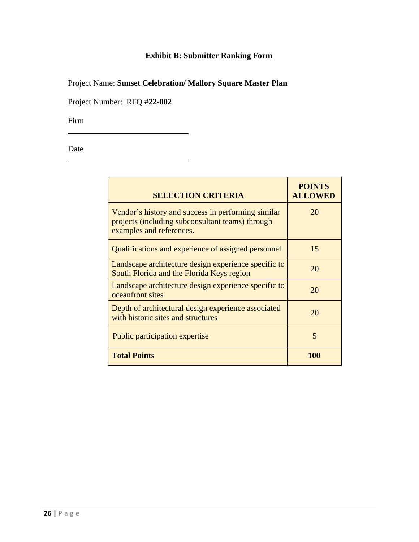# **Exhibit B: Submitter Ranking Form**

Project Name: **Sunset Celebration/ Mallory Square Master Plan**

Project Number: RFQ #**22-002**

Firm

Date

| <b>SELECTION CRITERIA</b>                                                                                                          | <b>POINTS</b><br><b>ALLOWED</b> |
|------------------------------------------------------------------------------------------------------------------------------------|---------------------------------|
| Vendor's history and success in performing similar<br>projects (including subconsultant teams) through<br>examples and references. | 20                              |
| Qualifications and experience of assigned personnel                                                                                | 15                              |
| Landscape architecture design experience specific to<br>South Florida and the Florida Keys region                                  | 20                              |
| Landscape architecture design experience specific to<br>oceanfront sites                                                           | 20                              |
| Depth of architectural design experience associated<br>with historic sites and structures                                          | 20                              |
| Public participation expertise                                                                                                     | 5                               |
| <b>Total Points</b>                                                                                                                | 100                             |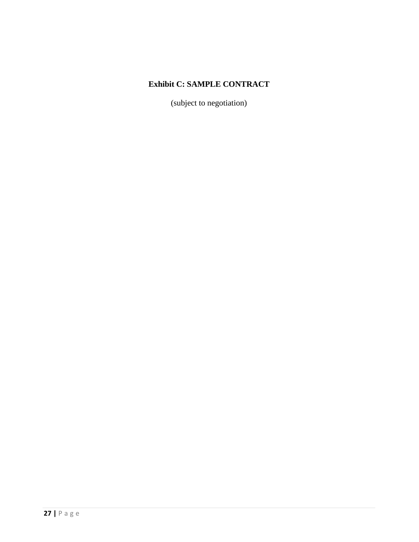# **Exhibit C: SAMPLE CONTRACT**

(subject to negotiation)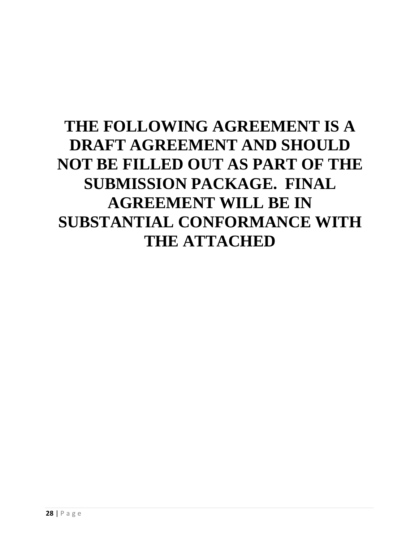# **THE FOLLOWING AGREEMENT IS A DRAFT AGREEMENT AND SHOULD NOT BE FILLED OUT AS PART OF THE SUBMISSION PACKAGE. FINAL AGREEMENT WILL BE IN SUBSTANTIAL CONFORMANCE WITH THE ATTACHED**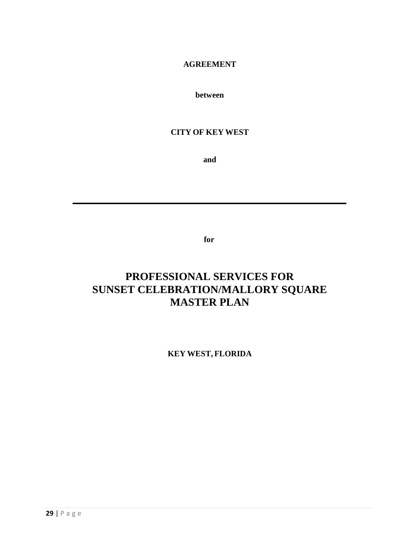#### **AGREEMENT**

**between**

# **CITY OF KEY WEST**

**and**

**for**

# **PROFESSIONAL SERVICES FOR SUNSET CELEBRATION/MALLORY SQUARE MASTER PLAN**

**KEY WEST, FLORIDA**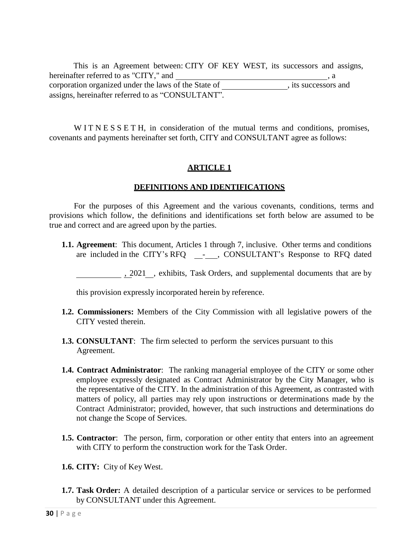This is an Agreement between: CITY OF KEY WEST, its successors and assigns, hereinafter referred to as "CITY," and corporation organized under the laws of the State of , its successors and assigns, hereinafter referred to as "CONSULTANT". , a

W I T N E S S E T H, in consideration of the mutual terms and conditions, promises, covenants and payments hereinafter set forth, CITY and CONSULTANT agree as follows:

# **ARTICLE 1**

#### **DEFINITIONS AND IDENTIFICATIONS**

For the purposes of this Agreement and the various covenants, conditions, terms and provisions which follow, the definitions and identifications set forth below are assumed to be true and correct and are agreed upon by the parties.

**1.1. Agreement**: This document, Articles 1 through 7, inclusive. Other terms and conditions are included in the CITY's RFQ - , CONSULTANT's Response to RFQ dated

, 2021 , exhibits, Task Orders, and supplemental documents that are by

this provision expressly incorporated herein by reference.

- **1.2. Commissioners:** Members of the City Commission with all legislative powers of the CITY vested therein.
- **1.3. CONSULTANT**: The firm selected to perform the services pursuant to this Agreement.
- **1.4. Contract Administrator**: The ranking managerial employee of the CITY or some other employee expressly designated as Contract Administrator by the City Manager, who is the representative of the CITY. In the administration of this Agreement, as contrasted with matters of policy, all parties may rely upon instructions or determinations made by the Contract Administrator; provided, however, that such instructions and determinations do not change the Scope of Services.
- **1.5. Contractor**: The person, firm, corporation or other entity that enters into an agreement with CITY to perform the construction work for the Task Order.
- **1.6. CITY:** City of Key West.
- **1.7. Task Order:** A detailed description of a particular service or services to be performed by CONSULTANT under this Agreement.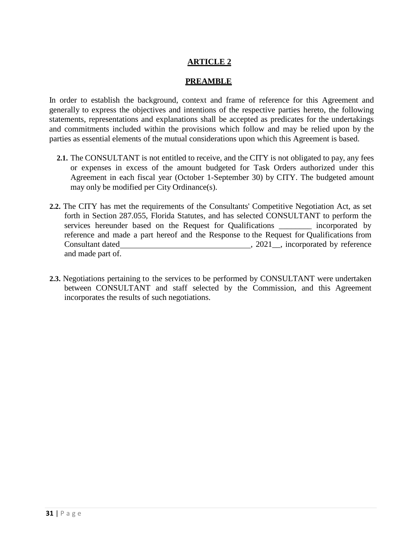# **ARTICLE 2**

#### **PREAMBLE**

In order to establish the background, context and frame of reference for this Agreement and generally to express the objectives and intentions of the respective parties hereto, the following statements, representations and explanations shall be accepted as predicates for the undertakings and commitments included within the provisions which follow and may be relied upon by the parties as essential elements of the mutual considerations upon which this Agreement is based.

- **2.1.** The CONSULTANT is not entitled to receive, and the CITY is not obligated to pay, any fees or expenses in excess of the amount budgeted for Task Orders authorized under this Agreement in each fiscal year (October 1-September 30) by CITY. The budgeted amount may only be modified per City Ordinance(s).
- **2.2.** The CITY has met the requirements of the Consultants' Competitive Negotiation Act, as set forth in Section 287.055, Florida Statutes, and has selected CONSULTANT to perform the services hereunder based on the Request for Qualifications \_\_\_\_\_\_\_\_ incorporated by reference and made a part hereof and the Response to the Request for Qualifications from Consultant dated , 2021\_, incorporated by reference and made part of.
- **2.3.** Negotiations pertaining to the services to be performed by CONSULTANT were undertaken between CONSULTANT and staff selected by the Commission, and this Agreement incorporates the results of such negotiations.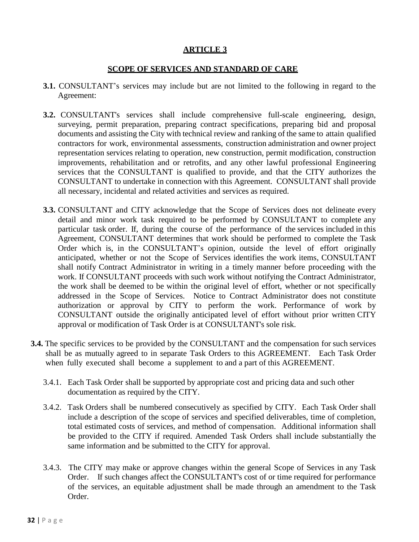# **ARTICLE 3**

#### **SCOPE OF SERVICES AND STANDARD OF CARE**

- **3.1.** CONSULTANT's services may include but are not limited to the following in regard to the Agreement:
- **3.2.** CONSULTANT's services shall include comprehensive full-scale engineering, design, surveying, permit preparation, preparing contract specifications, preparing bid and proposal documents and assisting the City with technical review and ranking of the same to attain qualified contractors for work, environmental assessments, construction administration and owner project representation services relating to operation, new construction, permit modification, construction improvements, rehabilitation and or retrofits, and any other lawful professional Engineering services that the CONSULTANT is qualified to provide, and that the CITY authorizes the CONSULTANT to undertake in connection with this Agreement. CONSULTANT shall provide all necessary, incidental and related activities and services as required.
- **3.3.** CONSULTANT and CITY acknowledge that the Scope of Services does not delineate every detail and minor work task required to be performed by CONSULTANT to complete any particular task order. If, during the course of the performance of the services included in this Agreement, CONSULTANT determines that work should be performed to complete the Task Order which is, in the CONSULTANT's opinion, outside the level of effort originally anticipated, whether or not the Scope of Services identifies the work items, CONSULTANT shall notify Contract Administrator in writing in a timely manner before proceeding with the work. If CONSULTANT proceeds with such work without notifying the Contract Administrator, the work shall be deemed to be within the original level of effort, whether or not specifically addressed in the Scope of Services. Notice to Contract Administrator does not constitute authorization or approval by CITY to perform the work. Performance of work by CONSULTANT outside the originally anticipated level of effort without prior written CITY approval or modification of Task Order is at CONSULTANT's sole risk.
- **3.4.** The specific services to be provided by the CONSULTANT and the compensation for such services shall be as mutually agreed to in separate Task Orders to this AGREEMENT. Each Task Order when fully executed shall become a supplement to and a part of this AGREEMENT.
	- 3.4.1. Each Task Order shall be supported by appropriate cost and pricing data and such other documentation as required by the CITY.
	- 3.4.2. Task Orders shall be numbered consecutively as specified by CITY. Each Task Order shall include a description of the scope of services and specified deliverables, time of completion, total estimated costs of services, and method of compensation. Additional information shall be provided to the CITY if required. Amended Task Orders shall include substantially the same information and be submitted to the CITY for approval.
	- 3.4.3. The CITY may make or approve changes within the general Scope of Services in any Task Order. If such changes affect the CONSULTANT's cost of or time required for performance of the services, an equitable adjustment shall be made through an amendment to the Task Order.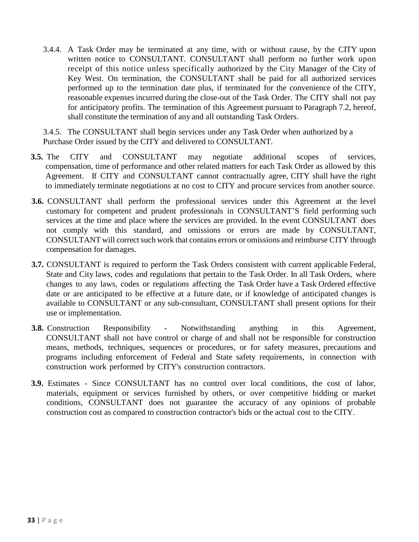3.4.4. A Task Order may be terminated at any time, with or without cause, by the CITY upon written notice to CONSULTANT. CONSULTANT shall perform no further work upon receipt of this notice unless specifically authorized by the City Manager of the City of Key West. On termination, the CONSULTANT shall be paid for all authorized services performed up to the termination date plus, if terminated for the convenience of the CITY, reasonable expenses incurred during the close-out of the Task Order. The CITY shall not pay for anticipatory profits. The termination of this Agreement pursuant to Paragraph 7.2, hereof, shall constitute the termination of any and all outstanding Task Orders.

3.4.5. The CONSULTANT shall begin services under any Task Order when authorized by a Purchase Order issued by the CITY and delivered to CONSULTANT.

- **3.5.** The CITY and CONSULTANT may negotiate additional scopes of services, compensation, time of performance and other related matters for each Task Order as allowed by this Agreement. If CITY and CONSULTANT cannot contractually agree, CITY shall have the right to immediately terminate negotiations at no cost to CITY and procure services from another source.
- **3.6.** CONSULTANT shall perform the professional services under this Agreement at the level customary for competent and prudent professionals in CONSULTANT'S field performing such services at the time and place where the services are provided. In the event CONSULTANT does not comply with this standard, and omissions or errors are made by CONSULTANT, CONSULTANT will correct such work that contains errors or omissions and reimburse CITY through compensation for damages.
- **3.7.** CONSULTANT is required to perform the Task Orders consistent with current applicable Federal, State and City laws, codes and regulations that pertain to the Task Order. In all Task Orders, where changes to any laws, codes or regulations affecting the Task Order have a Task Ordered effective date or are anticipated to be effective at a future date, or if knowledge of anticipated changes is available to CONSULTANT or any sub-consultant, CONSULTANT shall present options for their use or implementation.
- **3.8.** Construction Responsibility Notwithstanding anything in this Agreement, CONSULTANT shall not have control or charge of and shall not be responsible for construction means, methods, techniques, sequences or procedures, or for safety measures, precautions and programs including enforcement of Federal and State safety requirements, in connection with construction work performed by CITY's construction contractors.
- **3.9.** Estimates Since CONSULTANT has no control over local conditions, the cost of labor, materials, equipment or services furnished by others, or over competitive bidding or market conditions, CONSULTANT does not guarantee the accuracy of any opinions of probable construction cost as compared to construction contractor's bids or the actual cost to the CITY.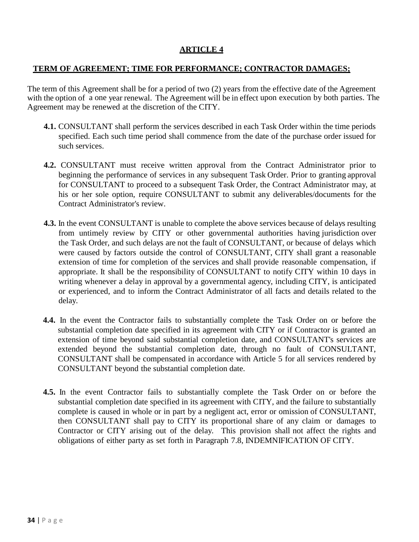# **ARTICLE 4**

#### **TERM OF AGREEMENT; TIME FOR PERFORMANCE; CONTRACTOR DAMAGES;**

The term of this Agreement shall be for a period of two (2) years from the effective date of the Agreement with the option of a one year renewal. The Agreement will be in effect upon execution by both parties. The Agreement may be renewed at the discretion of the CITY.

- **4.1.** CONSULTANT shall perform the services described in each Task Order within the time periods specified. Each such time period shall commence from the date of the purchase order issued for such services.
- **4.2.** CONSULTANT must receive written approval from the Contract Administrator prior to beginning the performance of services in any subsequent Task Order. Prior to granting approval for CONSULTANT to proceed to a subsequent Task Order, the Contract Administrator may, at his or her sole option, require CONSULTANT to submit any deliverables/documents for the Contract Administrator's review.
- **4.3.** In the event CONSULTANT is unable to complete the above services because of delays resulting from untimely review by CITY or other governmental authorities having jurisdiction over the Task Order, and such delays are not the fault of CONSULTANT, or because of delays which were caused by factors outside the control of CONSULTANT, CITY shall grant a reasonable extension of time for completion of the services and shall provide reasonable compensation, if appropriate. It shall be the responsibility of CONSULTANT to notify CITY within 10 days in writing whenever a delay in approval by a governmental agency, including CITY, is anticipated or experienced, and to inform the Contract Administrator of all facts and details related to the delay.
- **4.4.** In the event the Contractor fails to substantially complete the Task Order on or before the substantial completion date specified in its agreement with CITY or if Contractor is granted an extension of time beyond said substantial completion date, and CONSULTANT's services are extended beyond the substantial completion date, through no fault of CONSULTANT, CONSULTANT shall be compensated in accordance with Article 5 for all services rendered by CONSULTANT beyond the substantial completion date.
- **4.5.** In the event Contractor fails to substantially complete the Task Order on or before the substantial completion date specified in its agreement with CITY, and the failure to substantially complete is caused in whole or in part by a negligent act, error or omission of CONSULTANT, then CONSULTANT shall pay to CITY its proportional share of any claim or damages to Contractor or CITY arising out of the delay. This provision shall not affect the rights and obligations of either party as set forth in Paragraph 7.8, INDEMNIFICATION OF CITY.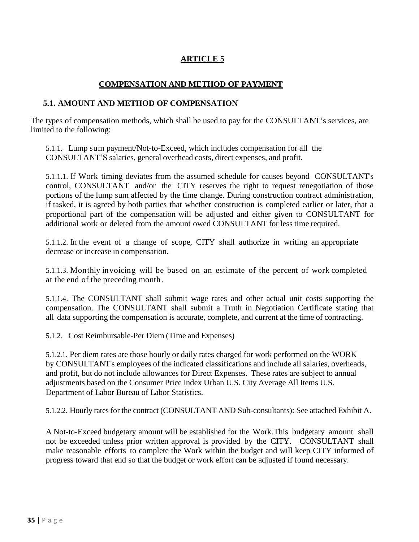# **ARTICLE 5**

# **COMPENSATION AND METHOD OF PAYMENT**

#### **5.1. AMOUNT AND METHOD OF COMPENSATION**

The types of compensation methods, which shall be used to pay for the CONSULTANT's services, are limited to the following:

5.1.1. Lump sum payment/Not-to-Exceed, which includes compensation for all the CONSULTANT'S salaries, general overhead costs, direct expenses, and profit.

5.1.1.1. If Work timing deviates from the assumed schedule for causes beyond CONSULTANT's control, CONSULTANT and/or the CITY reserves the right to request renegotiation of those portions of the lump sum affected by the time change. During construction contract administration, if tasked, it is agreed by both parties that whether construction is completed earlier or later, that a proportional part of the compensation will be adjusted and either given to CONSULTANT for additional work or deleted from the amount owed CONSULTANT for less time required.

5.1.1.2. In the event of a change of scope, CITY shall authorize in writing an appropriate decrease or increase in compensation.

5.1.1.3. Monthly invoicing will be based on an estimate of the percent of work completed at the end of the preceding month.

5.1.1.4. The CONSULTANT shall submit wage rates and other actual unit costs supporting the compensation. The CONSULTANT shall submit a Truth in Negotiation Certificate stating that all data supporting the compensation is accurate, complete, and current at the time of contracting.

5.1.2. Cost Reimbursable-Per Diem (Time and Expenses)

5.1.2.1. Per diem rates are those hourly or daily rates charged for work performed on the WORK by CONSULTANT's employees of the indicated classifications and include all salaries, overheads, and profit, but do not include allowances for Direct Expenses. These rates are subject to annual adjustments based on the Consumer Price Index Urban U.S. City Average All Items U.S. Department of Labor Bureau of Labor Statistics.

5.1.2.2. Hourly rates for the contract (CONSULTANT AND Sub-consultants): See attached Exhibit A.

A Not-to-Exceed budgetary amount will be established for the Work.This budgetary amount shall not be exceeded unless prior written approval is provided by the CITY. CONSULTANT shall make reasonable efforts to complete the Work within the budget and will keep CITY informed of progress toward that end so that the budget or work effort can be adjusted if found necessary.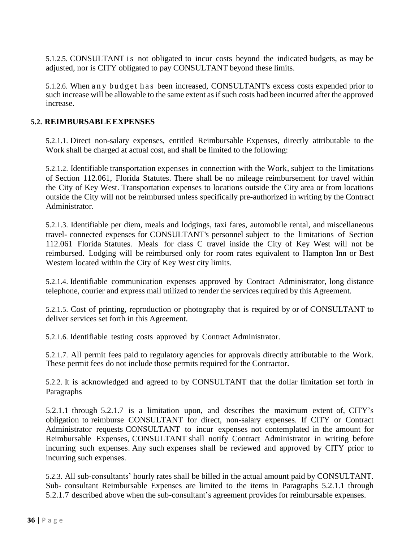5.1.2.5. CONSULTANT is not obligated to incur costs beyond the indicated budgets, as may be adjusted, nor is CITY obligated to pay CONSULTANT beyond these limits.

5.1.2.6. When a n y b u d g e t h a s been increased, CONSULTANT's excess costs expended prior to such increase will be allowable to the same extent as if such costs had been incurred after the approved increase.

#### **5.2. REIMBURSABLEEXPENSES**

5.2.1.1. Direct non-salary expenses, entitled Reimbursable Expenses, directly attributable to the Work shall be charged at actual cost, and shall be limited to the following:

5.2.1.2. Identifiable transportation expenses in connection with the Work, subject to the limitations of Section 112.061, Florida Statutes. There shall be no mileage reimbursement for travel within the City of Key West. Transportation expenses to locations outside the City area or from locations outside the City will not be reimbursed unless specifically pre-authorized in writing by the Contract Administrator.

5.2.1.3. Identifiable per diem, meals and lodgings, taxi fares, automobile rental, and miscellaneous travel- connected expenses for CONSULTANT's personnel subject to the limitations of Section 112.061 Florida Statutes. Meals for class C travel inside the City of Key West will not be reimbursed. Lodging will be reimbursed only for room rates equivalent to Hampton Inn or Best Western located within the City of Key West city limits.

5.2.1.4. Identifiable communication expenses approved by Contract Administrator, long distance telephone, courier and express mail utilized to render the services required by this Agreement.

5.2.1.5. Cost of printing, reproduction or photography that is required by or of CONSULTANT to deliver services set forth in this Agreement.

5.2.1.6. Identifiable testing costs approved by Contract Administrator.

5.2.1.7. All permit fees paid to regulatory agencies for approvals directly attributable to the Work. These permit fees do not include those permits required for the Contractor.

5.2.2. It is acknowledged and agreed to by CONSULTANT that the dollar limitation set forth in Paragraphs

5.2.1.1 through 5.2.1.7 is a limitation upon, and describes the maximum extent of, CITY's obligation to reimburse CONSULTANT for direct, non-salary expenses. If CITY or Contract Administrator requests CONSULTANT to incur expenses not contemplated in the amount for Reimbursable Expenses, CONSULTANT shall notify Contract Administrator in writing before incurring such expenses. Any such expenses shall be reviewed and approved by CITY prior to incurring such expenses.

5.2.3. All sub-consultants' hourly rates shall be billed in the actual amount paid by CONSULTANT. Sub- consultant Reimbursable Expenses are limited to the items in Paragraphs 5.2.1.1 through 5.2.1.7 described above when the sub-consultant's agreement provides for reimbursable expenses.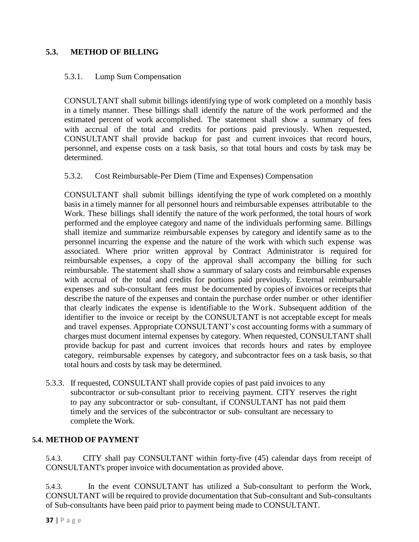# **5.3. METHOD OF BILLING**

#### 5.3.1. Lump Sum Compensation

CONSULTANT shall submit billings identifying type of work completed on a monthly basis in a timely manner. These billings shall identify the nature of the work performed and the estimated percent of work accomplished. The statement shall show a summary of fees with accrual of the total and credits for portions paid previously. When requested, CONSULTANT shall provide backup for past and current invoices that record hours, personnel, and expense costs on a task basis, so that total hours and costs by task may be determined.

#### 5.3.2. Cost Reimbursable-Per Diem (Time and Expenses) Compensation

CONSULTANT shall submit billings identifying the type of work completed on a monthly basis in a timely manner for all personnel hours and reimbursable expenses attributable to the Work. These billings shall identify the nature of the work performed, the total hours of work performed and the employee category and name of the individuals performing same. Billings shall itemize and summarize reimbursable expenses by category and identify same as to the personnel incurring the expense and the nature of the work with which such expense was associated. Where prior written approval by Contract Administrator is required for reimbursable expenses, a copy of the approval shall accompany the billing for such reimbursable. The statement shall show a summary of salary costs and reimbursable expenses with accrual of the total and credits for portions paid previously. External reimbursable expenses and sub-consultant fees must be documented by copies of invoices or receipts that describe the nature of the expenses and contain the purchase order number or other identifier that clearly indicates the expense is identifiable to the Work. Subsequent addition of the identifier to the invoice or receipt by the CONSULTANT is not acceptable except for meals and travel expenses. Appropriate CONSULTANT's cost accounting forms with a summary of charges must document internal expenses by category. When requested, CONSULTANT shall provide backup for past and current invoices that records hours and rates by employee category, reimbursable expenses by category, and subcontractor fees on a task basis, so that total hours and costs by task may be determined.

5.3.3. If requested, CONSULTANT shall provide copies of past paid invoices to any subcontractor or sub-consultant prior to receiving payment. CITY reserves the right to pay any subcontractor or sub- consultant, if CONSULTANT has not paid them timely and the services of the subcontractor or sub- consultant are necessary to complete the Work.

# **5.4. METHOD OF PAYMENT**

5.4.3. CITY shall pay CONSULTANT within forty-five (45) calendar days from receipt of CONSULTANT's proper invoice with documentation as provided above.

5.4.3. In the event CONSULTANT has utilized a Sub-consultant to perform the Work, CONSULTANT will be required to provide documentation that Sub-consultant and Sub-consultants of Sub-consultants have been paid prior to payment being made to CONSULTANT.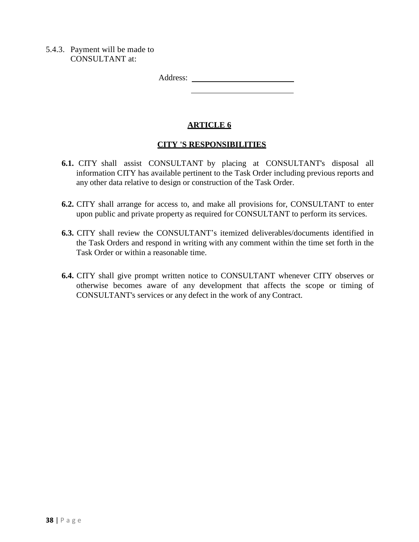5.4.3. Payment will be made to CONSULTANT at:

Address:

# **ARTICLE 6**

#### **CITY 'S RESPONSIBILITIES**

- **6.1.** CITY shall assist CONSULTANT by placing at CONSULTANT's disposal all information CITY has available pertinent to the Task Order including previous reports and any other data relative to design or construction of the Task Order.
- **6.2.** CITY shall arrange for access to, and make all provisions for, CONSULTANT to enter upon public and private property as required for CONSULTANT to perform its services.
- **6.3.** CITY shall review the CONSULTANT's itemized deliverables/documents identified in the Task Orders and respond in writing with any comment within the time set forth in the Task Order or within a reasonable time.
- **6.4.** CITY shall give prompt written notice to CONSULTANT whenever CITY observes or otherwise becomes aware of any development that affects the scope or timing of CONSULTANT's services or any defect in the work of any Contract.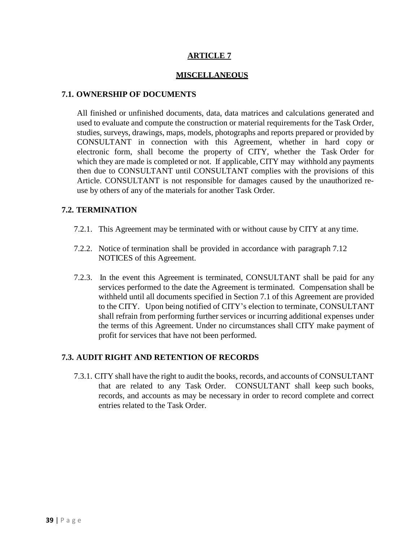# **ARTICLE 7**

#### **MISCELLANEOUS**

#### **7.1. OWNERSHIP OF DOCUMENTS**

All finished or unfinished documents, data, data matrices and calculations generated and used to evaluate and compute the construction or material requirements for the Task Order, studies, surveys, drawings, maps, models, photographs and reports prepared or provided by CONSULTANT in connection with this Agreement, whether in hard copy or electronic form, shall become the property of CITY, whether the Task Order for which they are made is completed or not. If applicable, CITY may withhold any payments then due to CONSULTANT until CONSULTANT complies with the provisions of this Article. CONSULTANT is not responsible for damages caused by the unauthorized reuse by others of any of the materials for another Task Order.

#### **7.2. TERMINATION**

- 7.2.1. This Agreement may be terminated with or without cause by CITY at any time.
- 7.2.2. Notice of termination shall be provided in accordance with paragraph 7.12 NOTICES of this Agreement.
- 7.2.3. In the event this Agreement is terminated, CONSULTANT shall be paid for any services performed to the date the Agreement is terminated. Compensation shall be withheld until all documents specified in Section 7.1 of this Agreement are provided to the CITY. Upon being notified of CITY's election to terminate, CONSULTANT shall refrain from performing further services or incurring additional expenses under the terms of this Agreement. Under no circumstances shall CITY make payment of profit for services that have not been performed.

#### **7.3. AUDIT RIGHT AND RETENTION OF RECORDS**

7.3.1. CITY shall have the right to audit the books, records, and accounts of CONSULTANT that are related to any Task Order. CONSULTANT shall keep such books, records, and accounts as may be necessary in order to record complete and correct entries related to the Task Order.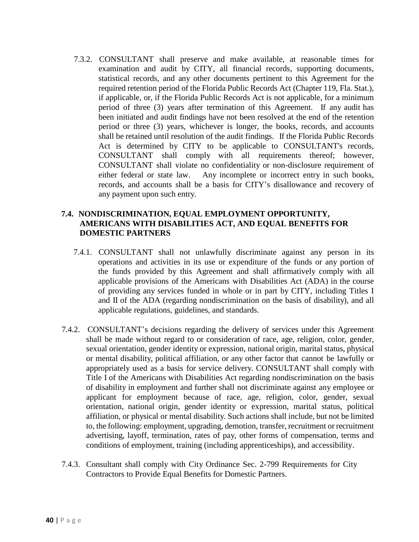7.3.2. CONSULTANT shall preserve and make available, at reasonable times for examination and audit by CITY, all financial records, supporting documents, statistical records, and any other documents pertinent to this Agreement for the required retention period of the Florida Public Records Act (Chapter 119, Fla. Stat.), if applicable, or, if the Florida Public Records Act is not applicable, for a minimum period of three (3) years after termination of this Agreement. If any audit has been initiated and audit findings have not been resolved at the end of the retention period or three (3) years, whichever is longer, the books, records, and accounts shall be retained until resolution of the audit findings. If the Florida Public Records Act is determined by CITY to be applicable to CONSULTANT's records, CONSULTANT shall comply with all requirements thereof; however, CONSULTANT shall violate no confidentiality or non-disclosure requirement of either federal or state law. Any incomplete or incorrect entry in such books, records, and accounts shall be a basis for CITY's disallowance and recovery of any payment upon such entry.

#### **7.4. NONDISCRIMINATION, EQUAL EMPLOYMENT OPPORTUNITY, AMERICANS WITH DISABILITIES ACT, AND EQUAL BENEFITS FOR DOMESTIC PARTNERS**

- 7.4.1. CONSULTANT shall not unlawfully discriminate against any person in its operations and activities in its use or expenditure of the funds or any portion of the funds provided by this Agreement and shall affirmatively comply with all applicable provisions of the Americans with Disabilities Act (ADA) in the course of providing any services funded in whole or in part by CITY, including Titles I and II of the ADA (regarding nondiscrimination on the basis of disability), and all applicable regulations, guidelines, and standards.
- 7.4.2. CONSULTANT's decisions regarding the delivery of services under this Agreement shall be made without regard to or consideration of race, age, religion, color, gender, sexual orientation, gender identity or expression, national origin, marital status, physical or mental disability, political affiliation, or any other factor that cannot be lawfully or appropriately used as a basis for service delivery. CONSULTANT shall comply with Title I of the Americans with Disabilities Act regarding nondiscrimination on the basis of disability in employment and further shall not discriminate against any employee or applicant for employment because of race, age, religion, color, gender, sexual orientation, national origin, gender identity or expression, marital status, political affiliation, or physical or mental disability. Such actions shall include, but not be limited to, the following: employment, upgrading, demotion, transfer, recruitment or recruitment advertising, layoff, termination, rates of pay, other forms of compensation, terms and conditions of employment, training (including apprenticeships), and accessibility.
- 7.4.3. Consultant shall comply with City Ordinance Sec. 2-799 Requirements for City Contractors to Provide Equal Benefits for Domestic Partners.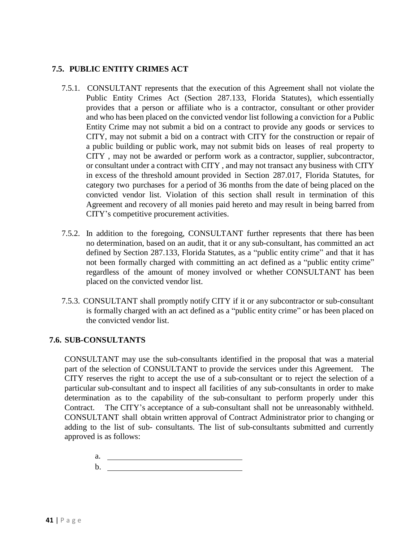# **7.5. PUBLIC ENTITY CRIMES ACT**

- 7.5.1. CONSULTANT represents that the execution of this Agreement shall not violate the Public Entity Crimes Act (Section 287.133, Florida Statutes), which essentially provides that a person or affiliate who is a contractor, consultant or other provider and who has been placed on the convicted vendor list following a conviction for a Public Entity Crime may not submit a bid on a contract to provide any goods or services to CITY, may not submit a bid on a contract with CITY for the construction or repair of a public building or public work, may not submit bids on leases of real property to CITY , may not be awarded or perform work as a contractor, supplier, subcontractor, or consultant under a contract with CITY , and may not transact any business with CITY in excess of the threshold amount provided in Section 287.017, Florida Statutes, for category two purchases for a period of 36 months from the date of being placed on the convicted vendor list. Violation of this section shall result in termination of this Agreement and recovery of all monies paid hereto and may result in being barred from CITY's competitive procurement activities.
- 7.5.2. In addition to the foregoing, CONSULTANT further represents that there has been no determination, based on an audit, that it or any sub-consultant, has committed an act defined by Section 287.133, Florida Statutes, as a "public entity crime" and that it has not been formally charged with committing an act defined as a "public entity crime" regardless of the amount of money involved or whether CONSULTANT has been placed on the convicted vendor list.
- 7.5.3. CONSULTANT shall promptly notify CITY if it or any subcontractor or sub-consultant is formally charged with an act defined as a "public entity crime" or has been placed on the convicted vendor list.

# **7.6. SUB-CONSULTANTS**

CONSULTANT may use the sub-consultants identified in the proposal that was a material part of the selection of CONSULTANT to provide the services under this Agreement. The CITY reserves the right to accept the use of a sub-consultant or to reject the selection of a particular sub-consultant and to inspect all facilities of any sub-consultants in order to make determination as to the capability of the sub-consultant to perform properly under this Contract. The CITY's acceptance of a sub-consultant shall not be unreasonably withheld. CONSULTANT shall obtain written approval of Contract Administrator prior to changing or adding to the list of sub- consultants. The list of sub-consultants submitted and currently approved is as follows:

a. b.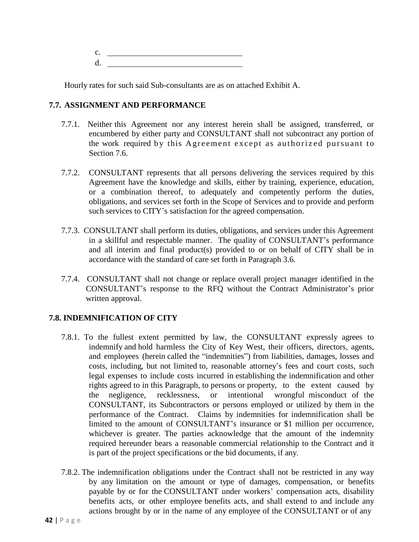$c.$   $\qquad \qquad$ d.

Hourly rates for such said Sub-consultants are as on attached Exhibit A.

#### **7.7. ASSIGNMENT AND PERFORMANCE**

- 7.7.1. Neither this Agreement nor any interest herein shall be assigned, transferred, or encumbered by either party and CONSULTANT shall not subcontract any portion of the work required by this Agreement except as authorized pursuant to Section 7.6.
- 7.7.2. CONSULTANT represents that all persons delivering the services required by this Agreement have the knowledge and skills, either by training, experience, education, or a combination thereof, to adequately and competently perform the duties, obligations, and services set forth in the Scope of Services and to provide and perform such services to CITY's satisfaction for the agreed compensation.
- 7.7.3. CONSULTANT shall perform its duties, obligations, and services under this Agreement in a skillful and respectable manner. The quality of CONSULTANT's performance and all interim and final product(s) provided to or on behalf of CITY shall be in accordance with the standard of care set forth in Paragraph 3.6.
- 7.7.4. CONSULTANT shall not change or replace overall project manager identified in the CONSULTANT's response to the RFQ without the Contract Administrator's prior written approval.

# **7.8. INDEMNIFICATION OF CITY**

- 7.8.1. To the fullest extent permitted by law, the CONSULTANT expressly agrees to indemnify and hold harmless the City of Key West, their officers, directors, agents, and employees (herein called the "indemnities") from liabilities, damages, losses and costs, including, but not limited to, reasonable attorney's fees and court costs, such legal expenses to include costs incurred in establishing the indemnification and other rights agreed to in this Paragraph, to persons or property, to the extent caused by the negligence, recklessness, or intentional wrongful misconduct of the CONSULTANT, its Subcontractors or persons employed or utilized by them in the performance of the Contract. Claims by indemnities for indemnification shall be limited to the amount of CONSULTANT's insurance or \$1 million per occurrence, whichever is greater. The parties acknowledge that the amount of the indemnity required hereunder bears a reasonable commercial relationship to the Contract and it is part of the project specifications or the bid documents, if any.
- 7.8.2. The indemnification obligations under the Contract shall not be restricted in any way by any limitation on the amount or type of damages, compensation, or benefits payable by or for the CONSULTANT under workers' compensation acts, disability benefits acts, or other employee benefits acts, and shall extend to and include any actions brought by or in the name of any employee of the CONSULTANT or of any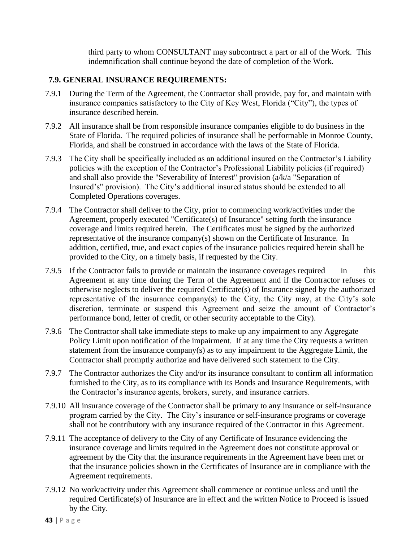third party to whom CONSULTANT may subcontract a part or all of the Work. This indemnification shall continue beyond the date of completion of the Work.

#### **7.9. GENERAL INSURANCE REQUIREMENTS:**

- 7.9.1 During the Term of the Agreement, the Contractor shall provide, pay for, and maintain with insurance companies satisfactory to the City of Key West, Florida ("City"), the types of insurance described herein.
- 7.9.2 All insurance shall be from responsible insurance companies eligible to do business in the State of Florida. The required policies of insurance shall be performable in Monroe County, Florida, and shall be construed in accordance with the laws of the State of Florida.
- 7.9.3 The City shall be specifically included as an additional insured on the Contractor's Liability policies with the exception of the Contractor's Professional Liability policies (if required) and shall also provide the "Severability of Interest" provision (a/k/a "Separation of Insured's" provision). The City's additional insured status should be extended to all Completed Operations coverages.
- 7.9.4 The Contractor shall deliver to the City, prior to commencing work/activities under the Agreement, properly executed "Certificate(s) of Insurance" setting forth the insurance coverage and limits required herein. The Certificates must be signed by the authorized representative of the insurance company(s) shown on the Certificate of Insurance. In addition, certified, true, and exact copies of the insurance policies required herein shall be provided to the City, on a timely basis, if requested by the City.
- 7.9.5 If the Contractor fails to provide or maintain the insurance coverages required in this Agreement at any time during the Term of the Agreement and if the Contractor refuses or otherwise neglects to deliver the required Certificate(s) of Insurance signed by the authorized representative of the insurance company(s) to the City, the City may, at the City's sole discretion, terminate or suspend this Agreement and seize the amount of Contractor's performance bond, letter of credit, or other security acceptable to the City).
- 7.9.6 The Contractor shall take immediate steps to make up any impairment to any Aggregate Policy Limit upon notification of the impairment. If at any time the City requests a written statement from the insurance company(s) as to any impairment to the Aggregate Limit, the Contractor shall promptly authorize and have delivered such statement to the City.
- 7.9.7 The Contractor authorizes the City and/or its insurance consultant to confirm all information furnished to the City, as to its compliance with its Bonds and Insurance Requirements, with the Contractor's insurance agents, brokers, surety, and insurance carriers.
- 7.9.10 All insurance coverage of the Contractor shall be primary to any insurance or self-insurance program carried by the City. The City's insurance or self-insurance programs or coverage shall not be contributory with any insurance required of the Contractor in this Agreement.
- 7.9.11 The acceptance of delivery to the City of any Certificate of Insurance evidencing the insurance coverage and limits required in the Agreement does not constitute approval or agreement by the City that the insurance requirements in the Agreement have been met or that the insurance policies shown in the Certificates of Insurance are in compliance with the Agreement requirements.
- 7.9.12 No work/activity under this Agreement shall commence or continue unless and until the required Certificate(s) of Insurance are in effect and the written Notice to Proceed is issued by the City.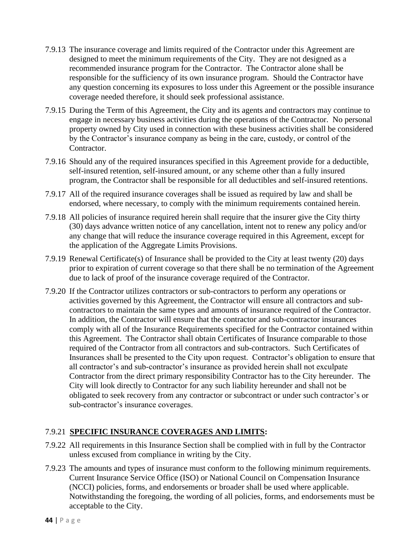- 7.9.13 The insurance coverage and limits required of the Contractor under this Agreement are designed to meet the minimum requirements of the City. They are not designed as a recommended insurance program for the Contractor. The Contractor alone shall be responsible for the sufficiency of its own insurance program. Should the Contractor have any question concerning its exposures to loss under this Agreement or the possible insurance coverage needed therefore, it should seek professional assistance.
- 7.9.15 During the Term of this Agreement, the City and its agents and contractors may continue to engage in necessary business activities during the operations of the Contractor. No personal property owned by City used in connection with these business activities shall be considered by the Contractor's insurance company as being in the care, custody, or control of the Contractor.
- 7.9.16 Should any of the required insurances specified in this Agreement provide for a deductible, self-insured retention, self-insured amount, or any scheme other than a fully insured program, the Contractor shall be responsible for all deductibles and self-insured retentions.
- 7.9.17 All of the required insurance coverages shall be issued as required by law and shall be endorsed, where necessary, to comply with the minimum requirements contained herein.
- 7.9.18 All policies of insurance required herein shall require that the insurer give the City thirty (30) days advance written notice of any cancellation, intent not to renew any policy and/or any change that will reduce the insurance coverage required in this Agreement, except for the application of the Aggregate Limits Provisions.
- 7.9.19 Renewal Certificate(s) of Insurance shall be provided to the City at least twenty (20) days prior to expiration of current coverage so that there shall be no termination of the Agreement due to lack of proof of the insurance coverage required of the Contractor.
- 7.9.20 If the Contractor utilizes contractors or sub-contractors to perform any operations or activities governed by this Agreement, the Contractor will ensure all contractors and subcontractors to maintain the same types and amounts of insurance required of the Contractor. In addition, the Contractor will ensure that the contractor and sub-contractor insurances comply with all of the Insurance Requirements specified for the Contractor contained within this Agreement. The Contractor shall obtain Certificates of Insurance comparable to those required of the Contractor from all contractors and sub-contractors. Such Certificates of Insurances shall be presented to the City upon request. Contractor's obligation to ensure that all contractor's and sub-contractor's insurance as provided herein shall not exculpate Contractor from the direct primary responsibility Contractor has to the City hereunder. The City will look directly to Contractor for any such liability hereunder and shall not be obligated to seek recovery from any contractor or subcontract or under such contractor's or sub-contractor's insurance coverages.

# 7.9.21 **SPECIFIC INSURANCE COVERAGES AND LIMITS:**

- 7.9.22 All requirements in this Insurance Section shall be complied with in full by the Contractor unless excused from compliance in writing by the City.
- 7.9.23 The amounts and types of insurance must conform to the following minimum requirements. Current Insurance Service Office (ISO) or National Council on Compensation Insurance (NCCI) policies, forms, and endorsements or broader shall be used where applicable. Notwithstanding the foregoing, the wording of all policies, forms, and endorsements must be acceptable to the City.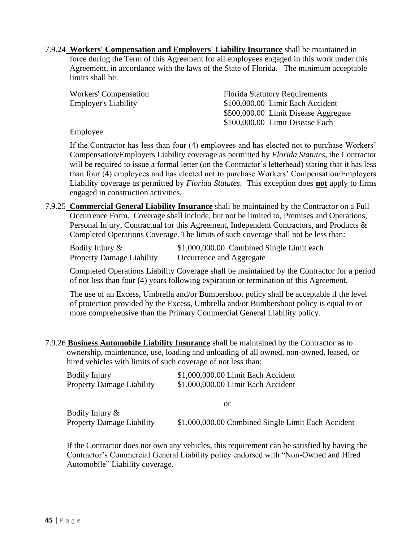7.9.24 **Workers' Compensation and Employers' Liability Insurance** shall be maintained in force during the Term of this Agreement for all employees engaged in this work under this Agreement, in accordance with the laws of the State of Florida. The minimum acceptable limits shall be:

| Workers' Compensation       | <b>Florida Statutory Requirements</b> |
|-----------------------------|---------------------------------------|
| <b>Employer's Liability</b> | \$100,000.00 Limit Each Accident      |
|                             | \$500,000.00 Limit Disease Aggregate  |
|                             | \$100,000.00 Limit Disease Each       |

#### Employee

If the Contractor has less than four (4) employees and has elected not to purchase Workers' Compensation/Employers Liability coverage as permitted by *Florida Statutes*, the Contractor will be required to issue a formal letter (on the Contractor's letterhead) stating that it has less than four (4) employees and has elected not to purchase Workers' Compensation/Employers Liability coverage as permitted by *Florida Statutes*. This exception does **not** apply to firms engaged in construction activities.

7.9.25 **Commercial General Liability Insurance** shall be maintained by the Contractor on a Full Occurrence Form. Coverage shall include, but not be limited to, Premises and Operations, Personal Injury, Contractual for this Agreement, Independent Contractors, and Products & Completed Operations Coverage. The limits of such coverage shall not be less than:

| Bodily Injury $\&$               | \$1,000,000.00 Combined Single Limit each |
|----------------------------------|-------------------------------------------|
| <b>Property Damage Liability</b> | Occurrence and Aggregate                  |

Completed Operations Liability Coverage shall be maintained by the Contractor for a period of not less than four (4) years following expiration or termination of this Agreement.

The use of an Excess, Umbrella and/or Bumbershoot policy shall be acceptable if the level of protection provided by the Excess, Umbrella and/or Bumbershoot policy is equal to or more comprehensive than the Primary Commercial General Liability policy.

7.9.26 **Business Automobile Liability Insurance** shall be maintained by the Contractor as to ownership, maintenance, use, loading and unloading of all owned, non-owned, leased, or hired vehicles with limits of such coverage of not less than:

| <b>Bodily Injury</b>             | \$1,000,000.00 Limit Each Accident |
|----------------------------------|------------------------------------|
| <b>Property Damage Liability</b> | \$1,000,000.00 Limit Each Accident |

or

Bodily Injury &

Property Damage Liability \$1,000,000.00 Combined Single Limit Each Accident

If the Contractor does not own any vehicles, this requirement can be satisfied by having the Contractor's Commercial General Liability policy endorsed with "Non-Owned and Hired Automobile" Liability coverage.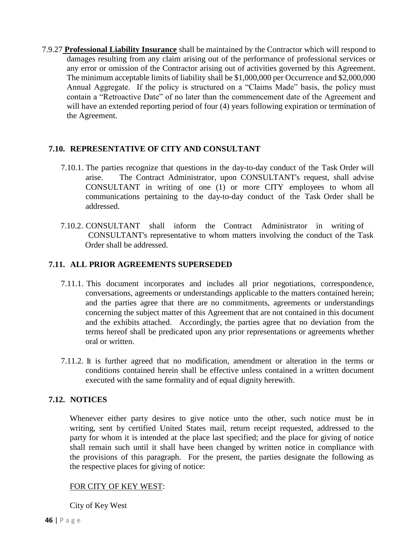7.9.27 **Professional Liability Insurance** shall be maintained by the Contractor which will respond to damages resulting from any claim arising out of the performance of professional services or any error or omission of the Contractor arising out of activities governed by this Agreement. The minimum acceptable limits of liability shall be \$1,000,000 per Occurrence and \$2,000,000 Annual Aggregate. If the policy is structured on a "Claims Made" basis, the policy must contain a "Retroactive Date" of no later than the commencement date of the Agreement and will have an extended reporting period of four (4) years following expiration or termination of the Agreement.

#### **7.10. REPRESENTATIVE OF CITY AND CONSULTANT**

- 7.10.1. The parties recognize that questions in the day-to-day conduct of the Task Order will arise. The Contract Administrator, upon CONSULTANT's request, shall advise CONSULTANT in writing of one (1) or more CITY employees to whom all communications pertaining to the day-to-day conduct of the Task Order shall be addressed.
- 7.10.2. CONSULTANT shall inform the Contract Administrator in writing of CONSULTANT's representative to whom matters involving the conduct of the Task Order shall be addressed.

#### **7.11. ALL PRIOR AGREEMENTS SUPERSEDED**

- 7.11.1. This document incorporates and includes all prior negotiations, correspondence, conversations, agreements or understandings applicable to the matters contained herein; and the parties agree that there are no commitments, agreements or understandings concerning the subject matter of this Agreement that are not contained in this document and the exhibits attached. Accordingly, the parties agree that no deviation from the terms hereof shall be predicated upon any prior representations or agreements whether oral or written.
- 7.11.2. It is further agreed that no modification, amendment or alteration in the terms or conditions contained herein shall be effective unless contained in a written document executed with the same formality and of equal dignity herewith.

#### **7.12. NOTICES**

Whenever either party desires to give notice unto the other, such notice must be in writing, sent by certified United States mail, return receipt requested, addressed to the party for whom it is intended at the place last specified; and the place for giving of notice shall remain such until it shall have been changed by written notice in compliance with the provisions of this paragraph. For the present, the parties designate the following as the respective places for giving of notice:

#### FOR CITY OF KEY WEST:

City of Key West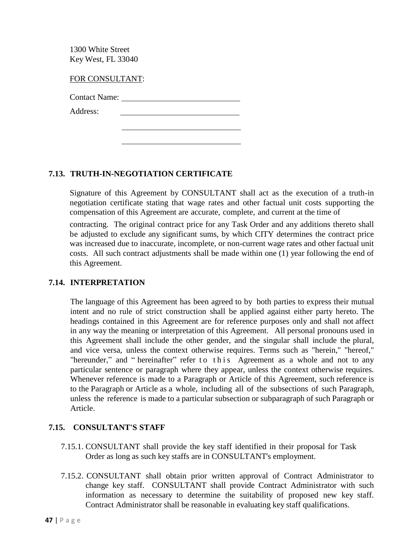1300 White Street Key West, FL 33040

FOR CONSULTANT:

Contact Name:

Address:

# **7.13. TRUTH-IN-NEGOTIATION CERTIFICATE**

Signature of this Agreement by CONSULTANT shall act as the execution of a truth-in negotiation certificate stating that wage rates and other factual unit costs supporting the compensation of this Agreement are accurate, complete, and current at the time of

contracting. The original contract price for any Task Order and any additions thereto shall be adjusted to exclude any significant sums, by which CITY determines the contract price was increased due to inaccurate, incomplete, or non-current wage rates and other factual unit costs. All such contract adjustments shall be made within one (1) year following the end of this Agreement.

#### **7.14. INTERPRETATION**

The language of this Agreement has been agreed to by both parties to express their mutual intent and no rule of strict construction shall be applied against either party hereto. The headings contained in this Agreement are for reference purposes only and shall not affect in any way the meaning or interpretation of this Agreement. All personal pronouns used in this Agreement shall include the other gender, and the singular shall include the plural, and vice versa, unless the context otherwise requires. Terms such as "herein," "hereof," "hereunder," and " hereinafter" refer to this Agreement as a whole and not to any particular sentence or paragraph where they appear, unless the context otherwise requires. Whenever reference is made to a Paragraph or Article of this Agreement, such reference is to the Paragraph or Article as a whole, including all of the subsections of such Paragraph, unless the reference is made to a particular subsection or subparagraph of such Paragraph or Article.

# **7.15. CONSULTANT'S STAFF**

- 7.15.1. CONSULTANT shall provide the key staff identified in their proposal for Task Order as long as such key staffs are in CONSULTANT's employment.
- 7.15.2. CONSULTANT shall obtain prior written approval of Contract Administrator to change key staff. CONSULTANT shall provide Contract Administrator with such information as necessary to determine the suitability of proposed new key staff. Contract Administrator shall be reasonable in evaluating key staff qualifications.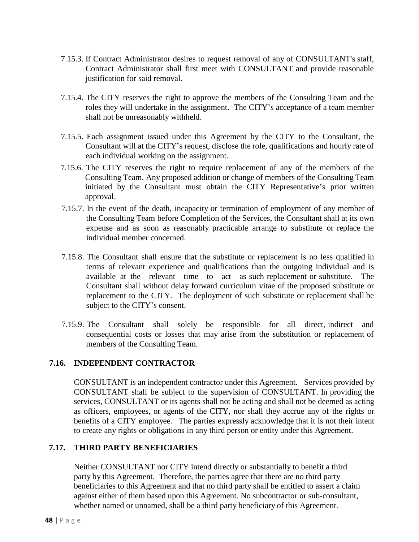- 7.15.3. If Contract Administrator desires to request removal of any of CONSULTANT's staff, Contract Administrator shall first meet with CONSULTANT and provide reasonable justification for said removal.
- 7.15.4. The CITY reserves the right to approve the members of the Consulting Team and the roles they will undertake in the assignment. The CITY's acceptance of a team member shall not be unreasonably withheld.
- 7.15.5. Each assignment issued under this Agreement by the CITY to the Consultant, the Consultant will at the CITY's request, disclose the role, qualifications and hourly rate of each individual working on the assignment.
- 7.15.6. The CITY reserves the right to require replacement of any of the members of the Consulting Team. Any proposed addition or change of members of the Consulting Team initiated by the Consultant must obtain the CITY Representative's prior written approval.
- 7.15.7. In the event of the death, incapacity or termination of employment of any member of the Consulting Team before Completion of the Services, the Consultant shall at its own expense and as soon as reasonably practicable arrange to substitute or replace the individual member concerned.
- 7.15.8. The Consultant shall ensure that the substitute or replacement is no less qualified in terms of relevant experience and qualifications than the outgoing individual and is available at the relevant time to act as such replacement or substitute. The Consultant shall without delay forward curriculum vitae of the proposed substitute or replacement to the CITY. The deployment of such substitute or replacement shall be subject to the CITY's consent.
- 7.15.9. The Consultant shall solely be responsible for all direct, indirect and consequential costs or losses that may arise from the substitution or replacement of members of the Consulting Team.

# **7.16. INDEPENDENT CONTRACTOR**

CONSULTANT is an independent contractor under this Agreement. Services provided by CONSULTANT shall be subject to the supervision of CONSULTANT. In providing the services, CONSULTANT or its agents shall not be acting and shall not be deemed as acting as officers, employees, or agents of the CITY, nor shall they accrue any of the rights or benefits of a CITY employee. The parties expressly acknowledge that it is not their intent to create any rights or obligations in any third person or entity under this Agreement.

# **7.17. THIRD PARTY BENEFICIARIES**

Neither CONSULTANT nor CITY intend directly or substantially to benefit a third party by this Agreement. Therefore, the parties agree that there are no third party beneficiaries to this Agreement and that no third party shall be entitled to assert a claim against either of them based upon this Agreement. No subcontractor or sub-consultant, whether named or unnamed, shall be a third party beneficiary of this Agreement.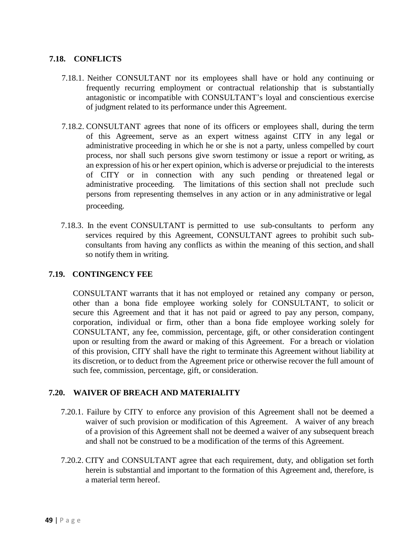# **7.18. CONFLICTS**

- 7.18.1. Neither CONSULTANT nor its employees shall have or hold any continuing or frequently recurring employment or contractual relationship that is substantially antagonistic or incompatible with CONSULTANT's loyal and conscientious exercise of judgment related to its performance under this Agreement.
- 7.18.2. CONSULTANT agrees that none of its officers or employees shall, during the term of this Agreement, serve as an expert witness against CITY in any legal or administrative proceeding in which he or she is not a party, unless compelled by court process, nor shall such persons give sworn testimony or issue a report or writing, as an expression of his or her expert opinion, which is adverse or prejudicial to the interests of CITY or in connection with any such pending or threatened legal or administrative proceeding. The limitations of this section shall not preclude such persons from representing themselves in any action or in any administrative or legal proceeding.
- 7.18.3. In the event CONSULTANT is permitted to use sub-consultants to perform any services required by this Agreement, CONSULTANT agrees to prohibit such subconsultants from having any conflicts as within the meaning of this section, and shall so notify them in writing.

#### **7.19. CONTINGENCY FEE**

CONSULTANT warrants that it has not employed or retained any company or person, other than a bona fide employee working solely for CONSULTANT, to solicit or secure this Agreement and that it has not paid or agreed to pay any person, company, corporation, individual or firm, other than a bona fide employee working solely for CONSULTANT, any fee, commission, percentage, gift, or other consideration contingent upon or resulting from the award or making of this Agreement. For a breach or violation of this provision, CITY shall have the right to terminate this Agreement without liability at its discretion, or to deduct from the Agreement price or otherwise recover the full amount of such fee, commission, percentage, gift, or consideration.

# **7.20. WAIVER OF BREACH AND MATERIALITY**

- 7.20.1. Failure by CITY to enforce any provision of this Agreement shall not be deemed a waiver of such provision or modification of this Agreement. A waiver of any breach of a provision of this Agreement shall not be deemed a waiver of any subsequent breach and shall not be construed to be a modification of the terms of this Agreement.
- 7.20.2. CITY and CONSULTANT agree that each requirement, duty, and obligation set forth herein is substantial and important to the formation of this Agreement and, therefore, is a material term hereof.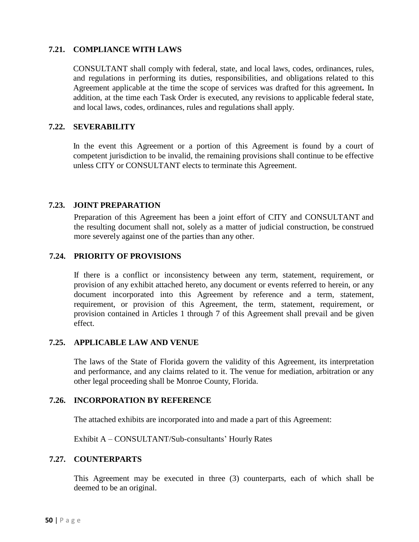#### **7.21. COMPLIANCE WITH LAWS**

CONSULTANT shall comply with federal, state, and local laws, codes, ordinances, rules, and regulations in performing its duties, responsibilities, and obligations related to this Agreement applicable at the time the scope of services was drafted for this agreement**.** In addition, at the time each Task Order is executed, any revisions to applicable federal state, and local laws, codes, ordinances, rules and regulations shall apply.

#### **7.22. SEVERABILITY**

In the event this Agreement or a portion of this Agreement is found by a court of competent jurisdiction to be invalid, the remaining provisions shall continue to be effective unless CITY or CONSULTANT elects to terminate this Agreement.

#### **7.23. JOINT PREPARATION**

Preparation of this Agreement has been a joint effort of CITY and CONSULTANT and the resulting document shall not, solely as a matter of judicial construction, be construed more severely against one of the parties than any other.

#### **7.24. PRIORITY OF PROVISIONS**

If there is a conflict or inconsistency between any term, statement, requirement, or provision of any exhibit attached hereto, any document or events referred to herein, or any document incorporated into this Agreement by reference and a term, statement, requirement, or provision of this Agreement, the term, statement, requirement, or provision contained in Articles 1 through 7 of this Agreement shall prevail and be given effect.

#### **7.25. APPLICABLE LAW AND VENUE**

The laws of the State of Florida govern the validity of this Agreement, its interpretation and performance, and any claims related to it. The venue for mediation, arbitration or any other legal proceeding shall be Monroe County, Florida.

#### **7.26. INCORPORATION BY REFERENCE**

The attached exhibits are incorporated into and made a part of this Agreement:

Exhibit A – CONSULTANT/Sub-consultants' Hourly Rates

#### **7.27. COUNTERPARTS**

This Agreement may be executed in three (3) counterparts, each of which shall be deemed to be an original.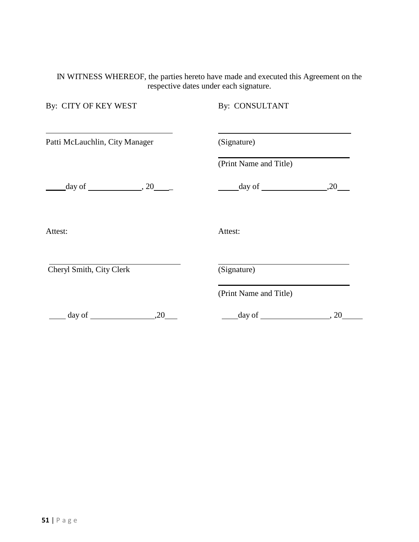#### IN WITNESS WHEREOF, the parties hereto have made and executed this Agreement on the respective dates under each signature.

| By: CITY OF KEY WEST                       | By: CONSULTANT                        |      |
|--------------------------------------------|---------------------------------------|------|
| Patti McLauchlin, City Manager             | (Signature)                           |      |
|                                            | (Print Name and Title)                |      |
| $\frac{\text{day of}}{\text{day of}}$ , 20 | $\frac{\text{day of}}{\text{day of}}$ | ,20  |
| Attest:                                    | Attest:                               |      |
| Cheryl Smith, City Clerk                   | (Signature)                           |      |
|                                            | (Print Name and Title)                |      |
| $day of$ $.20$                             | $\frac{day \text{ of }$               | , 20 |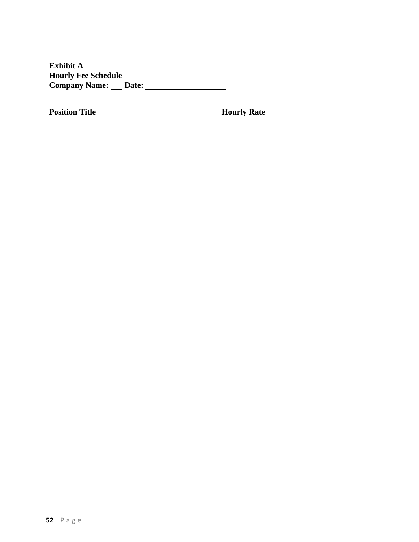**Exhibit A Hourly Fee Schedule Company Name: Date:**

**Position Title <b>Hourly Rate**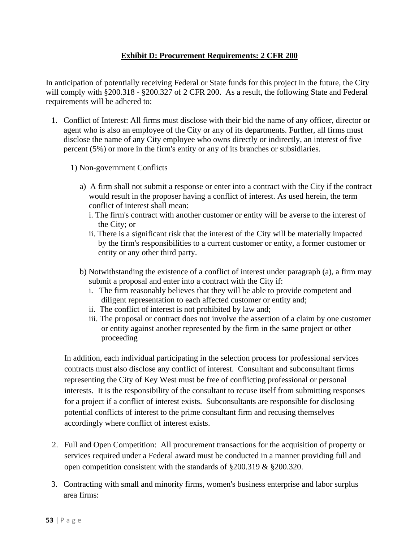# **[Exhibit D: Procurement Requirements: 2 CFR 200](file:///C:/Users/katie.halloran/AppData/Local/Microsoft/Windows/INetCache/Content.Outlook/9B771U3U/Sunset%20Mallory%20RFQ%209.21.2021_CDS%2009.29.21.docx)**

In anticipation of potentially receiving Federal or State funds for this project in the future, the City will comply with §200.318 - §200.327 of 2 CFR 200. As a result, the following State and Federal requirements will be adhered to:

- 1. Conflict of Interest: All firms must disclose with their bid the name of any officer, director or agent who is also an employee of the City or any of its departments. Further, all firms must disclose the name of any City employee who owns directly or indirectly, an interest of five percent (5%) or more in the firm's entity or any of its branches or subsidiaries.
	- 1) Non-government Conflicts
		- a) A firm shall not submit a response or enter into a contract with the City if the contract would result in the proposer having a conflict of interest. As used herein, the term conflict of interest shall mean:
			- i. The firm's contract with another customer or entity will be averse to the interest of the City; or
			- ii. There is a significant risk that the interest of the City will be materially impacted by the firm's responsibilities to a current customer or entity, a former customer or entity or any other third party.
		- b) Notwithstanding the existence of a conflict of interest under paragraph (a), a firm may submit a proposal and enter into a contract with the City if:
			- i. The firm reasonably believes that they will be able to provide competent and diligent representation to each affected customer or entity and;
			- ii. The conflict of interest is not prohibited by law and;
			- iii. The proposal or contract does not involve the assertion of a claim by one customer or entity against another represented by the firm in the same project or other proceeding

In addition, each individual participating in the selection process for professional services contracts must also disclose any conflict of interest. Consultant and subconsultant firms representing the City of Key West must be free of conflicting professional or personal interests. It is the responsibility of the consultant to recuse itself from submitting responses for a project if a conflict of interest exists. Subconsultants are responsible for disclosing potential conflicts of interest to the prime consultant firm and recusing themselves accordingly where conflict of interest exists.

- 2. Full and Open Competition: All procurement transactions for the acquisition of property or services required under a Federal award must be conducted in a manner providing full and open competition consistent with the standards of §200.319 & §200.320.
- 3. Contracting with small and minority firms, women's business enterprise and labor surplus area firms: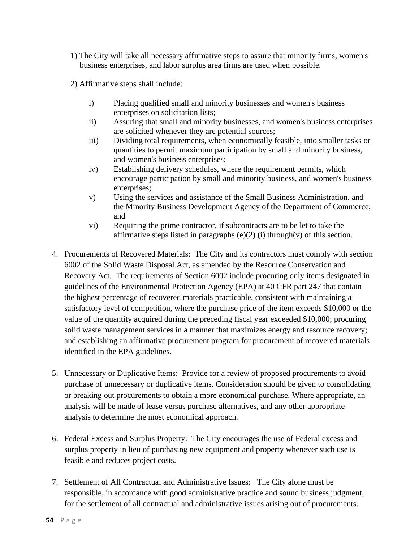- 1) The City will take all necessary affirmative steps to assure that minority firms, women's business enterprises, and labor surplus area firms are used when possible.
- 2) Affirmative steps shall include:
	- i) Placing qualified small and minority businesses and women's business enterprises on solicitation lists;
	- ii) Assuring that small and minority businesses, and women's business enterprises are solicited whenever they are potential sources;
	- iii) Dividing total requirements, when economically feasible, into smaller tasks or quantities to permit maximum participation by small and minority business, and women's business enterprises;
	- iv) Establishing delivery schedules, where the requirement permits, which encourage participation by small and minority business, and women's business enterprises;
	- v) Using the services and assistance of the Small Business Administration, and the Minority Business Development Agency of the Department of Commerce; and
	- vi) Requiring the prime contractor, if subcontracts are to be let to take the affirmative steps listed in paragraphs  $(e)(2)$  (i) through(v) of this section.
- 4. Procurements of Recovered Materials: The City and its contractors must comply with section 6002 of the Solid Waste Disposal Act, as amended by the Resource Conservation and Recovery Act. The requirements of Section 6002 include procuring only items designated in guidelines of the Environmental Protection Agency (EPA) at 40 CFR part 247 that contain the highest percentage of recovered materials practicable, consistent with maintaining a satisfactory level of competition, where the purchase price of the item exceeds \$10,000 or the value of the quantity acquired during the preceding fiscal year exceeded \$10,000; procuring solid waste management services in a manner that maximizes energy and resource recovery; and establishing an affirmative procurement program for procurement of recovered materials identified in the EPA guidelines.
- 5. Unnecessary or Duplicative Items: Provide for a review of proposed procurements to avoid purchase of unnecessary or duplicative items. Consideration should be given to consolidating or breaking out procurements to obtain a more economical purchase. Where appropriate, an analysis will be made of lease versus purchase alternatives, and any other appropriate analysis to determine the most economical approach.
- 6. Federal Excess and Surplus Property: The City encourages the use of Federal excess and surplus property in lieu of purchasing new equipment and property whenever such use is feasible and reduces project costs.
- 7. Settlement of All Contractual and Administrative Issues: The City alone must be responsible, in accordance with good administrative practice and sound business judgment, for the settlement of all contractual and administrative issues arising out of procurements.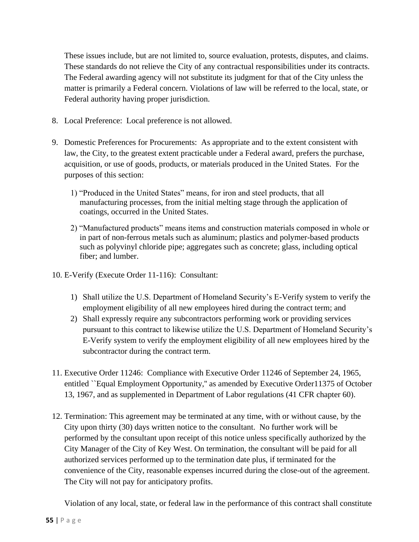These issues include, but are not limited to, source evaluation, protests, disputes, and claims. These standards do not relieve the City of any contractual responsibilities under its contracts. The Federal awarding agency will not substitute its judgment for that of the City unless the matter is primarily a Federal concern. Violations of law will be referred to the local, state, or Federal authority having proper jurisdiction.

- 8. Local Preference: Local preference is not allowed.
- 9. Domestic Preferences for Procurements: As appropriate and to the extent consistent with law, the City, to the greatest extent practicable under a Federal award, prefers the purchase, acquisition, or use of goods, products, or materials produced in the United States. For the purposes of this section:
	- 1) "Produced in the United States" means, for iron and steel products, that all manufacturing processes, from the initial melting stage through the application of coatings, occurred in the United States.
	- 2) "Manufactured products" means items and construction materials composed in whole or in part of non-ferrous metals such as aluminum; plastics and polymer-based products such as polyvinyl chloride pipe; aggregates such as concrete; glass, including optical fiber; and lumber.
- 10. E-Verify (Execute Order 11-116): Consultant:
	- 1) Shall utilize the U.S. Department of Homeland Security's E-Verify system to verify the employment eligibility of all new employees hired during the contract term; and
	- 2) Shall expressly require any subcontractors performing work or providing services pursuant to this contract to likewise utilize the U.S. Department of Homeland Security's E-Verify system to verify the employment eligibility of all new employees hired by the subcontractor during the contract term.
- 11. Executive Order 11246: Compliance with Executive Order 11246 of September 24, 1965, entitled ``Equal Employment Opportunity,'' as amended by Executive Order11375 of October 13, 1967, and as supplemented in Department of Labor regulations (41 CFR chapter 60).
- 12. Termination: This agreement may be terminated at any time, with or without cause, by the City upon thirty (30) days written notice to the consultant. No further work will be performed by the consultant upon receipt of this notice unless specifically authorized by the City Manager of the City of Key West. On termination, the consultant will be paid for all authorized services performed up to the termination date plus, if terminated for the convenience of the City, reasonable expenses incurred during the close-out of the agreement. The City will not pay for anticipatory profits.

Violation of any local, state, or federal law in the performance of this contract shall constitute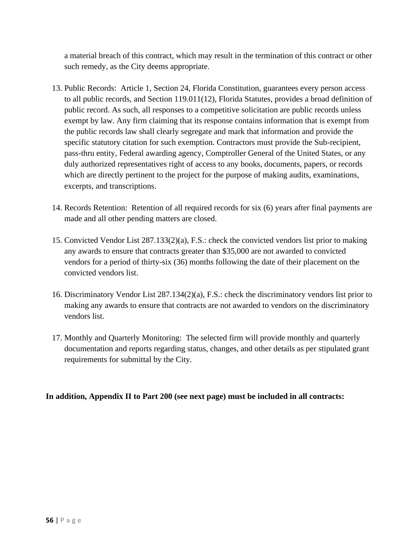a material breach of this contract, which may result in the termination of this contract or other such remedy, as the City deems appropriate.

- 13. Public Records: Article 1, Section 24, Florida Constitution, guarantees every person access to all public records, and Section 119.011(12), Florida Statutes, provides a broad definition of public record. As such, all responses to a competitive solicitation are public records unless exempt by law. Any firm claiming that its response contains information that is exempt from the public records law shall clearly segregate and mark that information and provide the specific statutory citation for such exemption. Contractors must provide the Sub-recipient, pass-thru entity, Federal awarding agency, Comptroller General of the United States, or any duly authorized representatives right of access to any books, documents, papers, or records which are directly pertinent to the project for the purpose of making audits, examinations, excerpts, and transcriptions.
- 14. Records Retention: Retention of all required records for six (6) years after final payments are made and all other pending matters are closed.
- 15. Convicted Vendor List 287.133(2)(a), F.S.: check the convicted vendors list prior to making any awards to ensure that contracts greater than \$35,000 are not awarded to convicted vendors for a period of thirty-six (36) months following the date of their placement on the convicted vendors list.
- 16. Discriminatory Vendor List 287.134(2)(a), F.S.: check the discriminatory vendors list prior to making any awards to ensure that contracts are not awarded to vendors on the discriminatory vendors list.
- 17. Monthly and Quarterly Monitoring: The selected firm will provide monthly and quarterly documentation and reports regarding status, changes, and other details as per stipulated grant requirements for submittal by the City.

**In addition, Appendix II to Part 200 (see next page) must be included in all contracts:**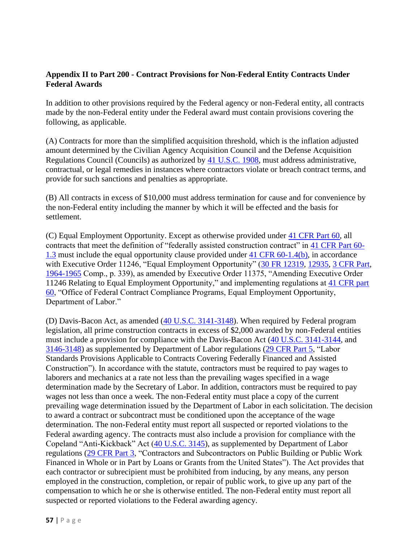# **Appendix II to Part 200 - Contract Provisions for Non-Federal Entity Contracts Under Federal Awards**

In addition to other provisions required by the Federal agency or non-Federal entity, all contracts made by the non-Federal entity under the Federal award must contain provisions covering the following, as applicable.

(A) Contracts for more than the simplified acquisition threshold, which is the inflation adjusted amount determined by the Civilian Agency Acquisition Council and the Defense Acquisition Regulations Council (Councils) as authorized by [41 U.S.C. 1908,](https://www.govinfo.gov/link/uscode/41/1908) must address administrative, contractual, or legal remedies in instances where contractors violate or breach contract terms, and provide for such sanctions and penalties as appropriate.

(B) All contracts in excess of \$10,000 must address termination for cause and for convenience by the non-Federal entity including the manner by which it will be effected and the basis for settlement.

(C) Equal Employment Opportunity. Except as otherwise provided under [41 CFR Part 60,](https://www.ecfr.gov/current/title-41/part-60) all contracts that meet the definition of "federally assisted construction contract" in [41 CFR Part 60-](https://www.ecfr.gov/current/title-41/section-60-1.3) [1.3](https://www.ecfr.gov/current/title-41/section-60-1.3) must include the equal opportunity clause provided under [41 CFR 60-1.4\(b\),](https://www.ecfr.gov/current/title-41/section-60-1.4#p-60-1.4(b)) in accordance with Executive Order 11246, "Equal Employment Opportunity" [\(30 FR 12319,](https://www.federalregister.gov/citation/30-FR-12319) [12935,](https://www.federalregister.gov/citation/30-FR-12935) [3 CFR Part,](https://www.ecfr.gov/current/title-3) [1964-1965](https://www.ecfr.gov/current/title-3/part-1964) Comp., p. 339), as amended by Executive Order 11375, "Amending Executive Order 11246 Relating to Equal Employment Opportunity," and implementing regulations at [41 CFR part](https://www.ecfr.gov/current/title-41/part-60)  [60,](https://www.ecfr.gov/current/title-41/part-60) "Office of Federal Contract Compliance Programs, Equal Employment Opportunity, Department of Labor."

(D) Davis-Bacon Act, as amended [\(40 U.S.C. 3141-3148\)](https://www.govinfo.gov/link/uscode/40/3141). When required by Federal program legislation, all prime construction contracts in excess of \$2,000 awarded by non-Federal entities must include a provision for compliance with the Davis-Bacon Act [\(40 U.S.C. 3141-3144,](https://www.govinfo.gov/link/uscode/40/3141) and [3146-3148\)](https://www.govinfo.gov/link/uscode/40/3146) as supplemented by Department of Labor regulations [\(29 CFR Part 5,](https://www.ecfr.gov/current/title-29/part-5) "Labor Standards Provisions Applicable to Contracts Covering Federally Financed and Assisted Construction"). In accordance with the statute, contractors must be required to pay wages to laborers and mechanics at a rate not less than the prevailing wages specified in a wage determination made by the Secretary of Labor. In addition, contractors must be required to pay wages not less than once a week. The non-Federal entity must place a copy of the current prevailing wage determination issued by the Department of Labor in each solicitation. The decision to award a contract or subcontract must be conditioned upon the acceptance of the wage determination. The non-Federal entity must report all suspected or reported violations to the Federal awarding agency. The contracts must also include a provision for compliance with the Copeland "Anti-Kickback" Act [\(40 U.S.C. 3145\)](https://www.govinfo.gov/link/uscode/40/3145), as supplemented by Department of Labor regulations [\(29 CFR Part 3,](https://www.ecfr.gov/current/title-29/part-3) "Contractors and Subcontractors on Public Building or Public Work Financed in Whole or in Part by Loans or Grants from the United States"). The Act provides that each contractor or subrecipient must be prohibited from inducing, by any means, any person employed in the construction, completion, or repair of public work, to give up any part of the compensation to which he or she is otherwise entitled. The non-Federal entity must report all suspected or reported violations to the Federal awarding agency.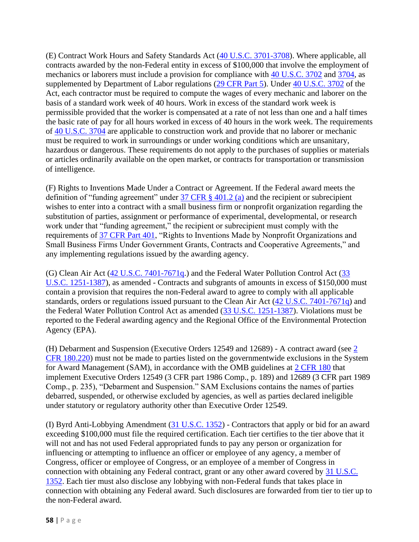(E) Contract Work Hours and Safety Standards Act [\(40 U.S.C. 3701-3708\)](https://www.govinfo.gov/link/uscode/40/3701). Where applicable, all contracts awarded by the non-Federal entity in excess of \$100,000 that involve the employment of mechanics or laborers must include a provision for compliance with [40 U.S.C. 3702](https://www.govinfo.gov/link/uscode/40/3702) and [3704,](https://www.govinfo.gov/link/uscode/40/3704) as supplemented by Department of Labor regulations [\(29 CFR Part 5\)](https://www.ecfr.gov/current/title-29/part-5). Under [40 U.S.C. 3702](https://www.govinfo.gov/link/uscode/40/3702) of the Act, each contractor must be required to compute the wages of every mechanic and laborer on the basis of a standard work week of 40 hours. Work in excess of the standard work week is permissible provided that the worker is compensated at a rate of not less than one and a half times the basic rate of pay for all hours worked in excess of 40 hours in the work week. The requirements of [40 U.S.C. 3704](https://www.govinfo.gov/link/uscode/40/3704) are applicable to construction work and provide that no laborer or mechanic must be required to work in surroundings or under working conditions which are unsanitary, hazardous or dangerous. These requirements do not apply to the purchases of supplies or materials or articles ordinarily available on the open market, or contracts for transportation or transmission of intelligence.

(F) Rights to Inventions Made Under a Contract or Agreement. If the Federal award meets the definition of "funding agreement" under  $37$  CFR  $\S$  401.2 (a) and the recipient or subrecipient wishes to enter into a contract with a small business firm or nonprofit organization regarding the substitution of parties, assignment or performance of experimental, developmental, or research work under that "funding agreement," the recipient or subrecipient must comply with the requirements of [37 CFR Part 401,](https://www.ecfr.gov/current/title-37/part-401) "Rights to Inventions Made by Nonprofit Organizations and Small Business Firms Under Government Grants, Contracts and Cooperative Agreements," and any implementing regulations issued by the awarding agency.

(G) Clean Air Act [\(42 U.S.C. 7401-7671q.](https://www.govinfo.gov/link/uscode/42/7401)) and the Federal Water Pollution Control Act [\(33](https://www.govinfo.gov/link/uscode/33/1251) [U.S.C. 1251-1387\)](https://www.govinfo.gov/link/uscode/33/1251), as amended - Contracts and subgrants of amounts in excess of \$150,000 must contain a provision that requires the non-Federal award to agree to comply with all applicable standards, orders or regulations issued pursuant to the Clean Air Act [\(42 U.S.C. 7401-7671q\)](https://www.govinfo.gov/link/uscode/42/7401) and the Federal Water Pollution Control Act as amended [\(33 U.S.C. 1251-1387\)](https://www.govinfo.gov/link/uscode/33/1251). Violations must be reported to the Federal awarding agency and the Regional Office of the Environmental Protection Agency (EPA).

(H) Debarment and Suspension (Executive Orders 12549 and 12689) - A contract award (see  $\frac{2}{3}$ ) [CFR 180.220\)](https://www.ecfr.gov/current/title-2/section-180.220) must not be made to parties listed on the governmentwide exclusions in the System for Award Management (SAM), in accordance with the OMB guidelines at [2 CFR 180](https://www.ecfr.gov/current/title-2/part-180) that implement Executive Orders 12549 (3 CFR part 1986 Comp., p. 189) and 12689 (3 CFR part 1989 Comp., p. 235), "Debarment and Suspension." SAM Exclusions contains the names of parties debarred, suspended, or otherwise excluded by agencies, as well as parties declared ineligible under statutory or regulatory authority other than Executive Order 12549.

(I) Byrd Anti-Lobbying Amendment  $(31 \text{ U.S.C. } 1352)$  - Contractors that apply or bid for an award exceeding \$100,000 must file the required certification. Each tier certifies to the tier above that it will not and has not used Federal appropriated funds to pay any person or organization for influencing or attempting to influence an officer or employee of any agency, a member of Congress, officer or employee of Congress, or an employee of a member of Congress in connection with obtaining any Federal contract, grant or any other award covered by [31 U.S.C.](https://www.govinfo.gov/link/uscode/31/1352)  [1352.](https://www.govinfo.gov/link/uscode/31/1352) Each tier must also disclose any lobbying with non-Federal funds that takes place in connection with obtaining any Federal award. Such disclosures are forwarded from tier to tier up to the non-Federal award.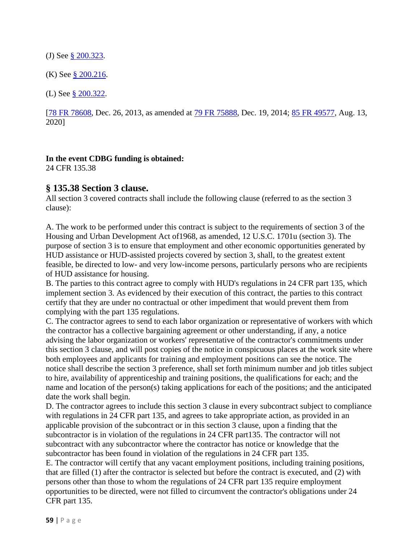(J) See [§ 200.323.](https://www.ecfr.gov/current/title-2/section-200.323)

(K) See  $\S 200.216$ .

(L) See [§ 200.322.](https://www.ecfr.gov/current/title-2/section-200.322)

[\[78 FR 78608,](https://www.federalregister.gov/citation/78-FR-78608) Dec. 26, 2013, as amended at  $79$  FR 75888, Dec. 19, 2014; [85 FR 49577,](https://www.federalregister.gov/citation/85-FR-49577) Aug. 13, 2020]

#### **In the event CDBG funding is obtained:**

24 CFR 135.38

# **§ 135.38 Section 3 clause.**

All section 3 covered contracts shall include the following clause (referred to as the section 3 clause):

A. The work to be performed under this contract is subject to the requirements of section 3 of the Housing and Urban Development Act of1968, as amended, 12 U.S.C. 1701u (section 3). The purpose of section 3 is to ensure that employment and other economic opportunities generated by HUD assistance or HUD-assisted projects covered by section 3, shall, to the greatest extent feasible, be directed to low- and very low-income persons, particularly persons who are recipients of HUD assistance for housing.

B. The parties to this contract agree to comply with HUD's regulations in 24 CFR part 135, which implement section 3. As evidenced by their execution of this contract, the parties to this contract certify that they are under no contractual or other impediment that would prevent them from complying with the part 135 regulations.

C. The contractor agrees to send to each labor organization or representative of workers with which the contractor has a collective bargaining agreement or other understanding, if any, a notice advising the labor organization or workers' representative of the contractor's commitments under this section 3 clause, and will post copies of the notice in conspicuous places at the work site where both employees and applicants for training and employment positions can see the notice. The notice shall describe the section 3 preference, shall set forth minimum number and job titles subject to hire, availability of apprenticeship and training positions, the qualifications for each; and the name and location of the person(s) taking applications for each of the positions; and the anticipated date the work shall begin.

D. The contractor agrees to include this section 3 clause in every subcontract subject to compliance with regulations in 24 CFR part 135, and agrees to take appropriate action, as provided in an applicable provision of the subcontract or in this section 3 clause, upon a finding that the subcontractor is in violation of the regulations in 24 CFR part135. The contractor will not subcontract with any subcontractor where the contractor has notice or knowledge that the subcontractor has been found in violation of the regulations in 24 CFR part 135.

E. The contractor will certify that any vacant employment positions, including training positions, that are filled (1) after the contractor is selected but before the contract is executed, and (2) with persons other than those to whom the regulations of 24 CFR part 135 require employment opportunities to be directed, were not filled to circumvent the contractor's obligations under 24 CFR part 135.